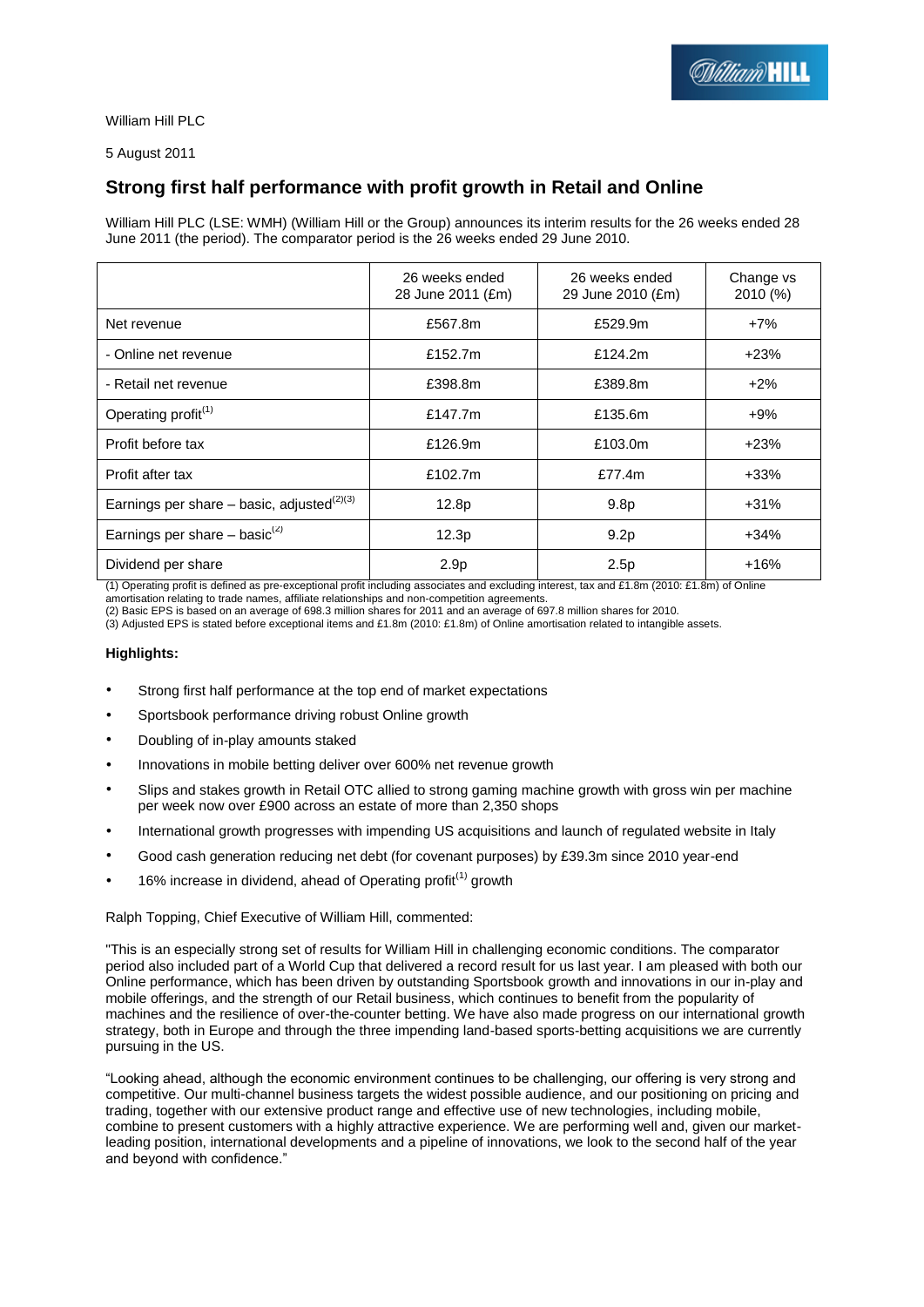

William Hill PLC

5 August 2011

# **Strong first half performance with profit growth in Retail and Online**

William Hill PLC (LSE: WMH) (William Hill or the Group) announces its interim results for the 26 weeks ended 28 June 2011 (the period). The comparator period is the 26 weeks ended 29 June 2010.

|                                               | 26 weeks ended<br>28 June 2011 (£m) | 26 weeks ended<br>29 June 2010 (£m) | Change vs<br>2010 (%) |
|-----------------------------------------------|-------------------------------------|-------------------------------------|-----------------------|
| Net revenue                                   | £567.8m                             | £529.9m                             | $+7%$                 |
| - Online net revenue                          | £152.7m                             | £124.2m                             | $+23%$                |
| - Retail net revenue                          | £398.8m                             | £389.8m                             | $+2\%$                |
| Operating profit <sup>(1)</sup>               | £147.7m                             | £135.6m                             | $+9\%$                |
| Profit before tax                             | £126.9m                             | £103.0m                             | $+23%$                |
| Profit after tax                              | £102.7m                             | £77.4 $m$                           | $+33%$                |
| Earnings per share – basic, adjusted $(2)(3)$ | 12.8p                               | 9.8 <sub>p</sub>                    | $+31%$                |
| Earnings per share - basic <sup>(2)</sup>     | 12.3p                               | 9.2p                                | $+34%$                |
| Dividend per share                            | 2.9 <sub>p</sub>                    | 2.5p                                | $+16%$                |

(1) Operating profit is defined as pre-exceptional profit including associates and excluding interest, tax and £1.8m (2010: £1.8m) of Online

amortisation relating to trade names, affiliate relationships and non-competition agreements.

(2) Basic EPS is based on an average of 698.3 million shares for 2011 and an average of 697.8 million shares for 2010.

(3) Adjusted EPS is stated before exceptional items and £1.8m (2010: £1.8m) of Online amortisation related to intangible assets.

#### **Highlights:**

- Strong first half performance at the top end of market expectations
- Sportsbook performance driving robust Online growth
- Doubling of in-play amounts staked
- Innovations in mobile betting deliver over 600% net revenue growth
- Slips and stakes growth in Retail OTC allied to strong gaming machine growth with gross win per machine per week now over £900 across an estate of more than 2,350 shops
- International growth progresses with impending US acquisitions and launch of regulated website in Italy
- Good cash generation reducing net debt (for covenant purposes) by £39.3m since 2010 year-end
- 16% increase in dividend, ahead of Operating profit<sup>(1)</sup> growth

#### Ralph Topping, Chief Executive of William Hill, commented:

"This is an especially strong set of results for William Hill in challenging economic conditions. The comparator period also included part of a World Cup that delivered a record result for us last year. I am pleased with both our Online performance, which has been driven by outstanding Sportsbook growth and innovations in our in-play and mobile offerings, and the strength of our Retail business, which continues to benefit from the popularity of machines and the resilience of over-the-counter betting. We have also made progress on our international growth strategy, both in Europe and through the three impending land-based sports-betting acquisitions we are currently pursuing in the US.

―Looking ahead, although the economic environment continues to be challenging, our offering is very strong and competitive. Our multi-channel business targets the widest possible audience, and our positioning on pricing and trading, together with our extensive product range and effective use of new technologies, including mobile, combine to present customers with a highly attractive experience. We are performing well and, given our marketleading position, international developments and a pipeline of innovations, we look to the second half of the year and beyond with confidence."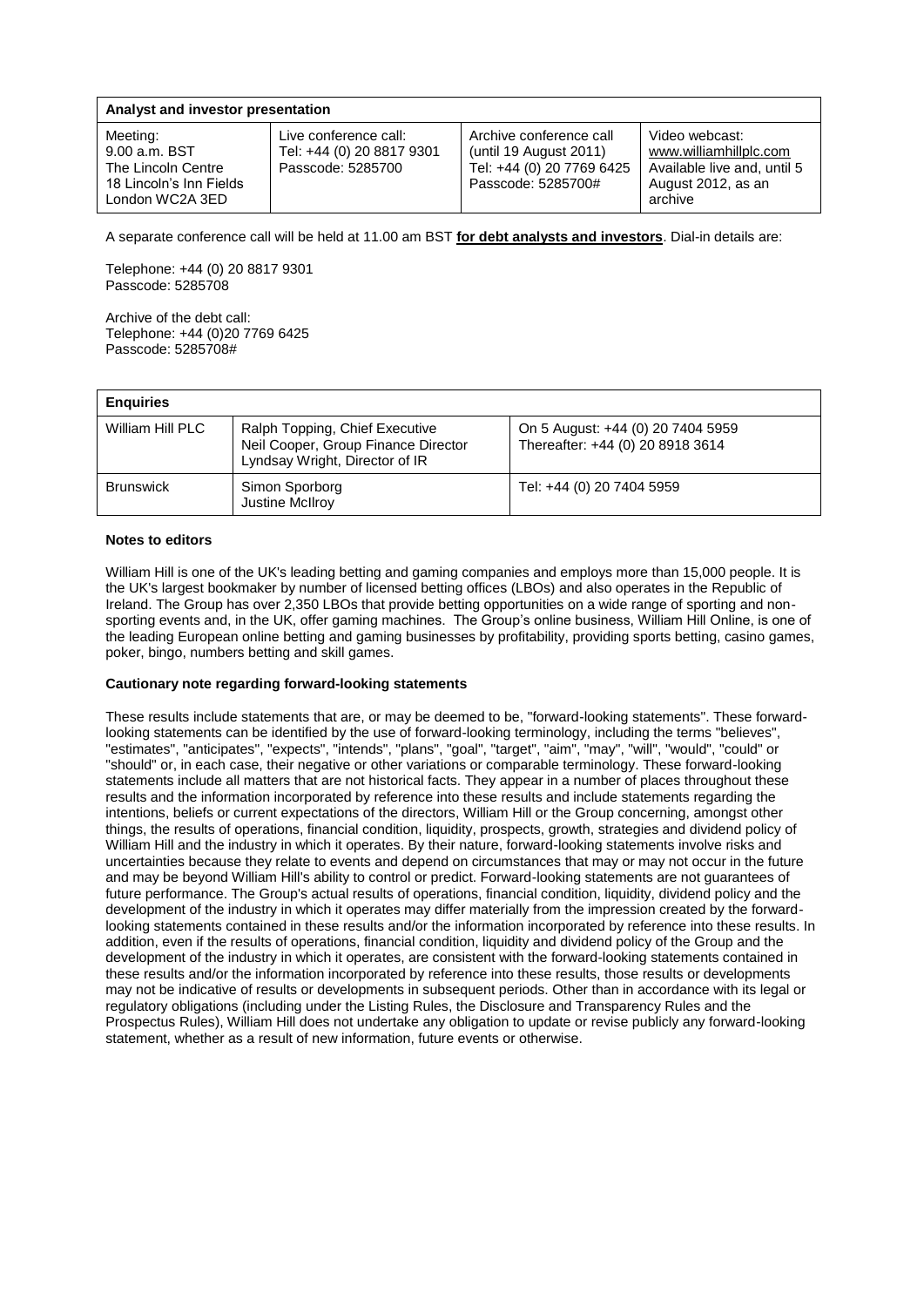| Analyst and investor presentation                                                             |                                                                         |                                                                                                      |                                                                                                          |  |  |  |  |
|-----------------------------------------------------------------------------------------------|-------------------------------------------------------------------------|------------------------------------------------------------------------------------------------------|----------------------------------------------------------------------------------------------------------|--|--|--|--|
| Meeting:<br>9.00 a.m. BST<br>The Lincoln Centre<br>18 Lincoln's Inn Fields<br>London WC2A 3ED | Live conference call:<br>Tel: +44 (0) 20 8817 9301<br>Passcode: 5285700 | Archive conference call<br>(until 19 August 2011)<br>Tel: +44 (0) 20 7769 6425<br>Passcode: 5285700# | Video webcast:<br>www.williamhillplc.com<br>Available live and, until 5<br>August 2012, as an<br>archive |  |  |  |  |

A separate conference call will be held at 11.00 am BST **for debt analysts and investors**. Dial-in details are:

Telephone: +44 (0) 20 8817 9301 Passcode: 5285708

Archive of the debt call: Telephone: +44 (0)20 7769 6425 Passcode: 5285708#

| <b>Enguiries</b> |                                                                                                         |                                                                       |
|------------------|---------------------------------------------------------------------------------------------------------|-----------------------------------------------------------------------|
| William Hill PLC | Ralph Topping, Chief Executive<br>Neil Cooper, Group Finance Director<br>Lyndsay Wright, Director of IR | On 5 August: +44 (0) 20 7404 5959<br>Thereafter: +44 (0) 20 8918 3614 |
| <b>Brunswick</b> | Simon Sporborg<br>Justine McIlroy                                                                       | Tel: +44 (0) 20 7404 5959                                             |

#### **Notes to editors**

William Hill is one of the UK's leading betting and gaming companies and employs more than 15,000 people. It is the UK's largest bookmaker by number of licensed betting offices (LBOs) and also operates in the Republic of Ireland. The Group has over 2,350 LBOs that provide betting opportunities on a wide range of sporting and nonsporting events and, in the UK, offer gaming machines. The Group's online business, William Hill Online, is one of the leading European online betting and gaming businesses by profitability, providing sports betting, casino games, poker, bingo, numbers betting and skill games.

#### **Cautionary note regarding forward-looking statements**

These results include statements that are, or may be deemed to be, "forward-looking statements". These forwardlooking statements can be identified by the use of forward-looking terminology, including the terms "believes", "estimates", "anticipates", "expects", "intends", "plans", "goal", "target", "aim", "may", "will", "would", "could" or "should" or, in each case, their negative or other variations or comparable terminology. These forward-looking statements include all matters that are not historical facts. They appear in a number of places throughout these results and the information incorporated by reference into these results and include statements regarding the intentions, beliefs or current expectations of the directors, William Hill or the Group concerning, amongst other things, the results of operations, financial condition, liquidity, prospects, growth, strategies and dividend policy of William Hill and the industry in which it operates. By their nature, forward-looking statements involve risks and uncertainties because they relate to events and depend on circumstances that may or may not occur in the future and may be beyond William Hill's ability to control or predict. Forward-looking statements are not guarantees of future performance. The Group's actual results of operations, financial condition, liquidity, dividend policy and the development of the industry in which it operates may differ materially from the impression created by the forwardlooking statements contained in these results and/or the information incorporated by reference into these results. In addition, even if the results of operations, financial condition, liquidity and dividend policy of the Group and the development of the industry in which it operates, are consistent with the forward-looking statements contained in these results and/or the information incorporated by reference into these results, those results or developments may not be indicative of results or developments in subsequent periods. Other than in accordance with its legal or regulatory obligations (including under the Listing Rules, the Disclosure and Transparency Rules and the Prospectus Rules), William Hill does not undertake any obligation to update or revise publicly any forward-looking statement, whether as a result of new information, future events or otherwise.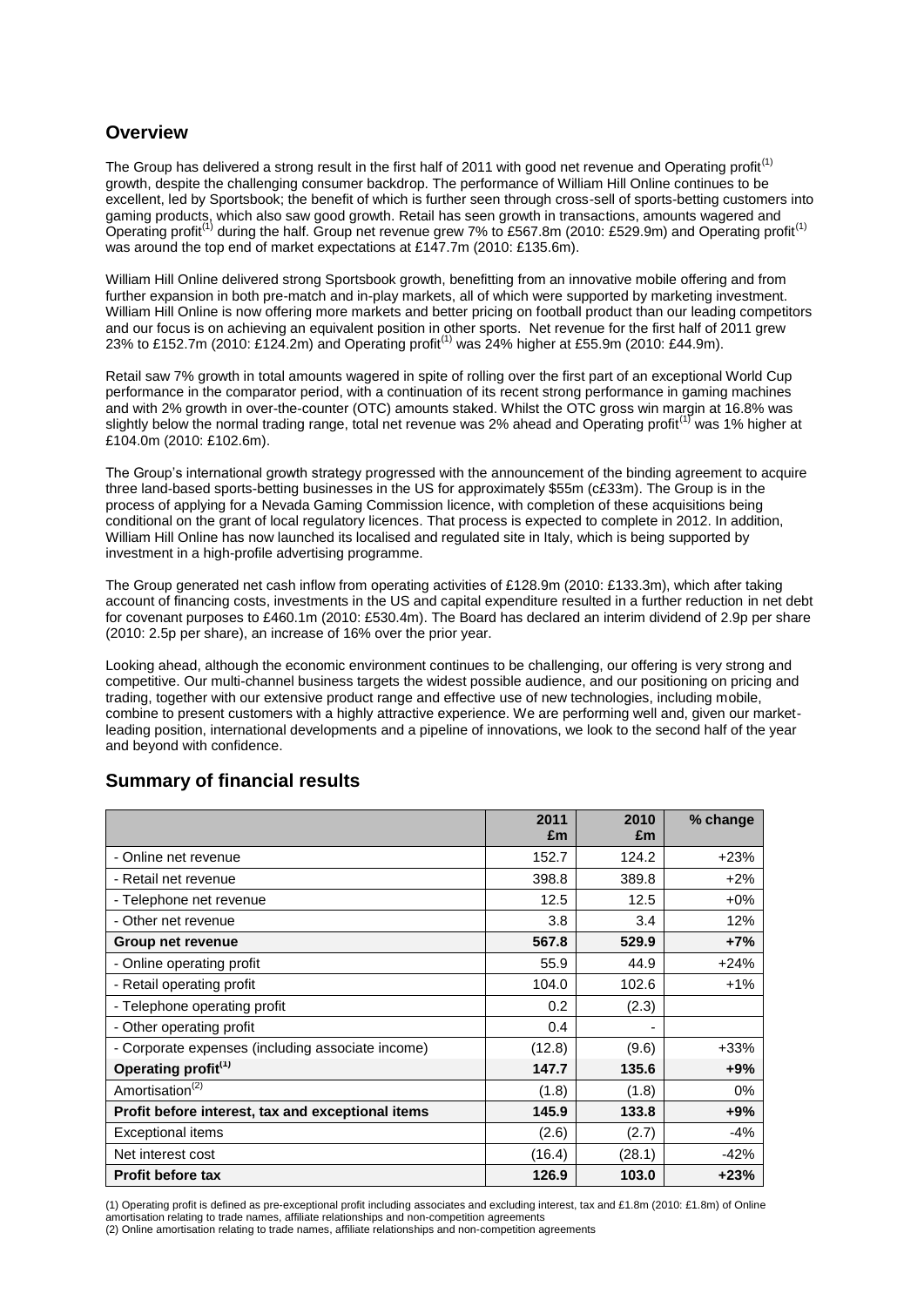### **Overview**

The Group has delivered a strong result in the first half of 2011 with good net revenue and Operating profit<sup>(1)</sup> growth, despite the challenging consumer backdrop. The performance of William Hill Online continues to be excellent, led by Sportsbook; the benefit of which is further seen through cross-sell of sports-betting customers into gaming products, which also saw good growth. Retail has seen growth in transactions, amounts wagered and Operating profit<sup>(1)</sup> during the half. Group net revenue grew 7% to £567.8m (2010: £529.9m) and Operating profit<sup>(1)</sup> was around the top end of market expectations at £147.7m (2010: £135.6m).

William Hill Online delivered strong Sportsbook growth, benefitting from an innovative mobile offering and from further expansion in both pre-match and in-play markets, all of which were supported by marketing investment. William Hill Online is now offering more markets and better pricing on football product than our leading competitors and our focus is on achieving an equivalent position in other sports. Net revenue for the first half of 2011 grew 23% to £152.7m (2010: £124.2m) and Operating profit<sup>(1)</sup> was 24% higher at £55.9m (2010: £44.9m).

Retail saw 7% growth in total amounts wagered in spite of rolling over the first part of an exceptional World Cup performance in the comparator period, with a continuation of its recent strong performance in gaming machines and with 2% growth in over-the-counter (OTC) amounts staked. Whilst the OTC gross win margin at 16.8% was slightly below the normal trading range, total net revenue was 2% ahead and Operating profit<sup>(1)</sup> was 1% higher at £104.0m (2010: £102.6m).

The Group's international growth strategy progressed with the announcement of the binding agreement to acquire three land-based sports-betting businesses in the US for approximately \$55m (c£33m). The Group is in the process of applying for a Nevada Gaming Commission licence, with completion of these acquisitions being conditional on the grant of local regulatory licences. That process is expected to complete in 2012. In addition, William Hill Online has now launched its localised and regulated site in Italy, which is being supported by investment in a high-profile advertising programme.

The Group generated net cash inflow from operating activities of £128.9m (2010: £133.3m), which after taking account of financing costs, investments in the US and capital expenditure resulted in a further reduction in net debt for covenant purposes to £460.1m (2010: £530.4m). The Board has declared an interim dividend of 2.9p per share (2010: 2.5p per share), an increase of 16% over the prior year.

Looking ahead, although the economic environment continues to be challenging, our offering is very strong and competitive. Our multi-channel business targets the widest possible audience, and our positioning on pricing and trading, together with our extensive product range and effective use of new technologies, including mobile, combine to present customers with a highly attractive experience. We are performing well and, given our marketleading position, international developments and a pipeline of innovations, we look to the second half of the year and beyond with confidence.

|                                                   | 2011<br>£m | 2010<br>£m | % change |
|---------------------------------------------------|------------|------------|----------|
| - Online net revenue                              | 152.7      | 124.2      | $+23%$   |
| - Retail net revenue                              | 398.8      | 389.8      | $+2%$    |
| - Telephone net revenue                           | 12.5       | 12.5       | $+0\%$   |
| - Other net revenue                               | 3.8        | 3.4        | 12%      |
| Group net revenue                                 | 567.8      | 529.9      | $+7%$    |
| - Online operating profit                         | 55.9       | 44.9       | $+24%$   |
| - Retail operating profit                         | 104.0      | 102.6      | $+1%$    |
| - Telephone operating profit                      | 0.2        | (2.3)      |          |
| - Other operating profit                          | 0.4        | ۰          |          |
| - Corporate expenses (including associate income) | (12.8)     | (9.6)      | $+33%$   |
| Operating profit <sup>(1)</sup>                   | 147.7      | 135.6      | +9%      |
| Amortisation <sup>(2)</sup>                       | (1.8)      | (1.8)      | $0\%$    |
| Profit before interest, tax and exceptional items | 145.9      | 133.8      | +9%      |
| <b>Exceptional items</b>                          | (2.6)      | (2.7)      | $-4%$    |
| Net interest cost                                 | (16.4)     | (28.1)     | $-42%$   |
| <b>Profit before tax</b>                          | 126.9      | 103.0      | $+23%$   |

### **Summary of financial results**

(1) Operating profit is defined as pre-exceptional profit including associates and excluding interest, tax and £1.8m (2010: £1.8m) of Online amortisation relating to trade names, affiliate relationships and non-competition agreements

(2) Online amortisation relating to trade names, affiliate relationships and non-competition agreements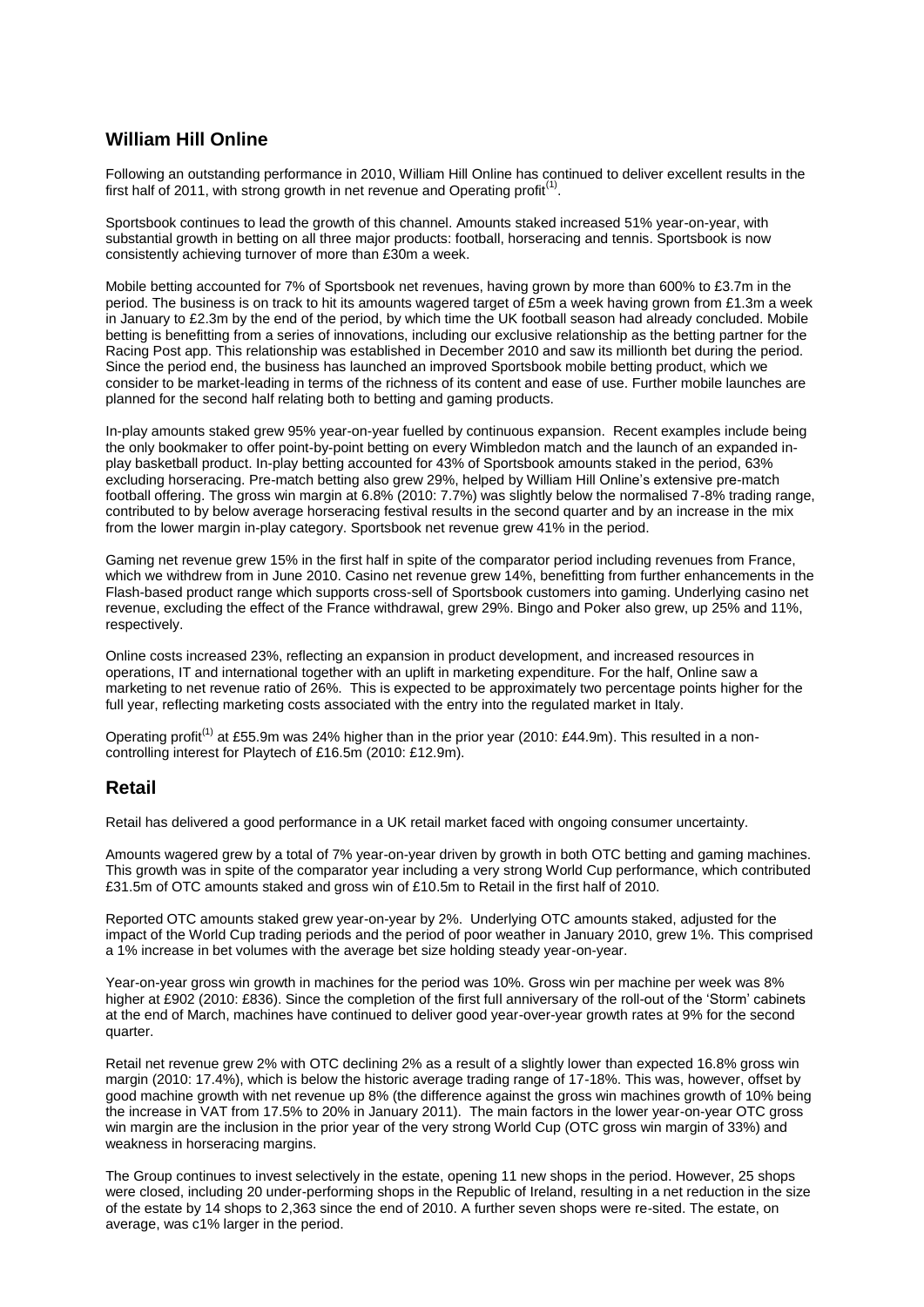## **William Hill Online**

Following an outstanding performance in 2010, William Hill Online has continued to deliver excellent results in the first half of 2011, with strong growth in net revenue and Operating profit<sup>(1)</sup>.

Sportsbook continues to lead the growth of this channel. Amounts staked increased 51% year-on-year, with substantial growth in betting on all three major products: football, horseracing and tennis. Sportsbook is now consistently achieving turnover of more than £30m a week.

Mobile betting accounted for 7% of Sportsbook net revenues, having grown by more than 600% to £3.7m in the period. The business is on track to hit its amounts wagered target of £5m a week having grown from £1.3m a week in January to £2.3m by the end of the period, by which time the UK football season had already concluded. Mobile betting is benefitting from a series of innovations, including our exclusive relationship as the betting partner for the Racing Post app. This relationship was established in December 2010 and saw its millionth bet during the period. Since the period end, the business has launched an improved Sportsbook mobile betting product, which we consider to be market-leading in terms of the richness of its content and ease of use. Further mobile launches are planned for the second half relating both to betting and gaming products.

In-play amounts staked grew 95% year-on-year fuelled by continuous expansion. Recent examples include being the only bookmaker to offer point-by-point betting on every Wimbledon match and the launch of an expanded inplay basketball product. In-play betting accounted for 43% of Sportsbook amounts staked in the period, 63% excluding horseracing. Pre-match betting also grew 29%, helped by William Hill Online's extensive pre-match football offering. The gross win margin at 6.8% (2010: 7.7%) was slightly below the normalised 7-8% trading range, contributed to by below average horseracing festival results in the second quarter and by an increase in the mix from the lower margin in-play category. Sportsbook net revenue grew 41% in the period.

Gaming net revenue grew 15% in the first half in spite of the comparator period including revenues from France, which we withdrew from in June 2010. Casino net revenue grew 14%, benefitting from further enhancements in the Flash-based product range which supports cross-sell of Sportsbook customers into gaming. Underlying casino net revenue, excluding the effect of the France withdrawal, grew 29%. Bingo and Poker also grew, up 25% and 11%, respectively.

Online costs increased 23%, reflecting an expansion in product development, and increased resources in operations, IT and international together with an uplift in marketing expenditure. For the half, Online saw a marketing to net revenue ratio of 26%. This is expected to be approximately two percentage points higher for the full year, reflecting marketing costs associated with the entry into the regulated market in Italy.

Operating profit<sup>(1)</sup> at £55.9m was 24% higher than in the prior year (2010: £44.9m). This resulted in a noncontrolling interest for Playtech of £16.5m (2010: £12.9m).

### **Retail**

Retail has delivered a good performance in a UK retail market faced with ongoing consumer uncertainty.

Amounts wagered grew by a total of 7% year-on-year driven by growth in both OTC betting and gaming machines. This growth was in spite of the comparator year including a very strong World Cup performance, which contributed £31.5m of OTC amounts staked and gross win of £10.5m to Retail in the first half of 2010.

Reported OTC amounts staked grew year-on-year by 2%. Underlying OTC amounts staked, adjusted for the impact of the World Cup trading periods and the period of poor weather in January 2010, grew 1%. This comprised a 1% increase in bet volumes with the average bet size holding steady year-on-year.

Year-on-year gross win growth in machines for the period was 10%. Gross win per machine per week was 8% higher at £902 (2010: £836). Since the completion of the first full anniversary of the roll-out of the 'Storm' cabinets at the end of March, machines have continued to deliver good year-over-year growth rates at 9% for the second quarter.

Retail net revenue grew 2% with OTC declining 2% as a result of a slightly lower than expected 16.8% gross win margin (2010: 17.4%), which is below the historic average trading range of 17-18%. This was, however, offset by good machine growth with net revenue up 8% (the difference against the gross win machines growth of 10% being the increase in VAT from 17.5% to 20% in January 2011). The main factors in the lower year-on-year OTC gross win margin are the inclusion in the prior year of the very strong World Cup (OTC gross win margin of 33%) and weakness in horseracing margins.

The Group continues to invest selectively in the estate, opening 11 new shops in the period. However, 25 shops were closed, including 20 under-performing shops in the Republic of Ireland, resulting in a net reduction in the size of the estate by 14 shops to 2,363 since the end of 2010. A further seven shops were re-sited. The estate, on average, was c1% larger in the period.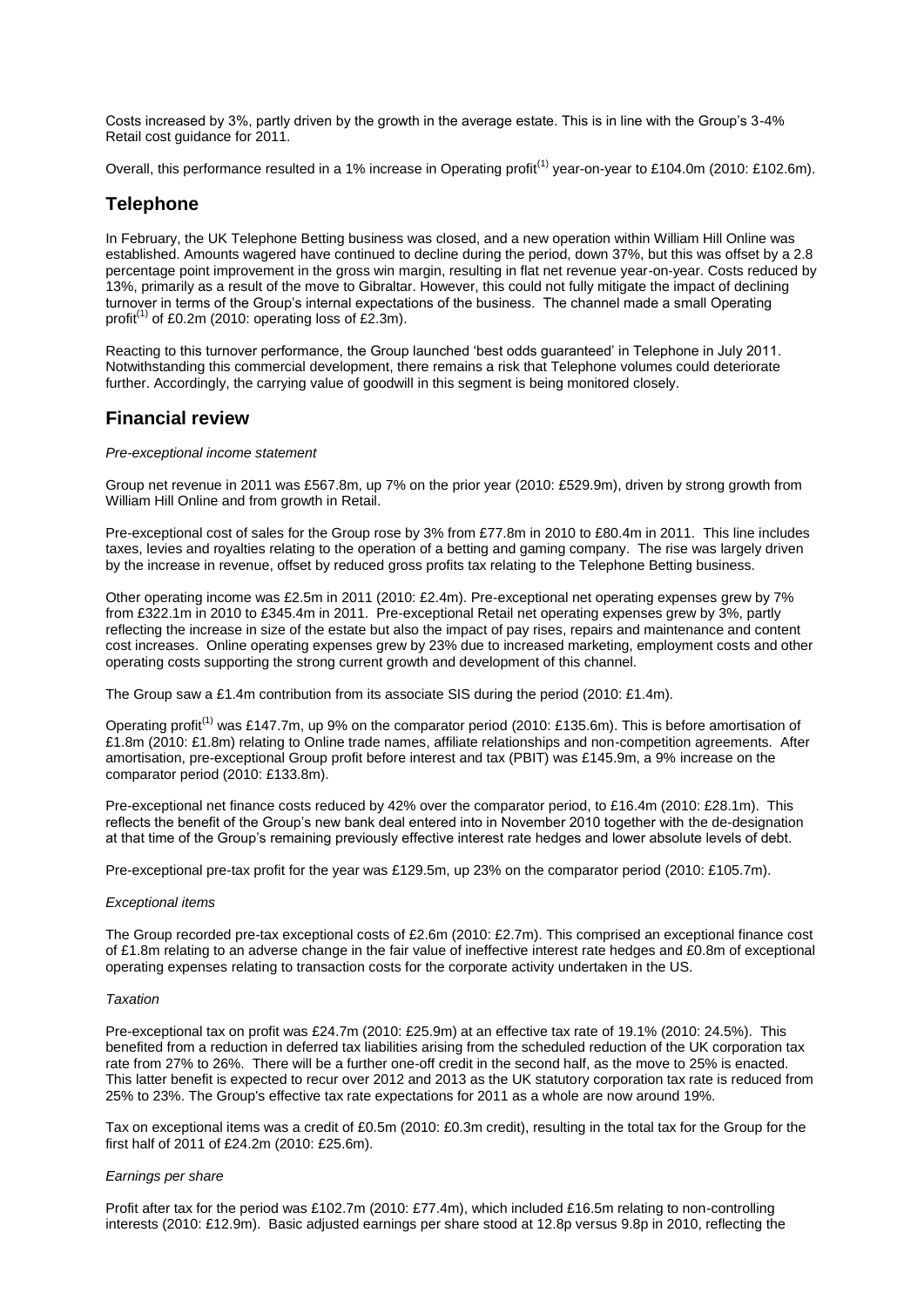Costs increased by 3%, partly driven by the growth in the average estate. This is in line with the Group's 3-4% Retail cost guidance for 2011.

Overall, this performance resulted in a 1% increase in Operating profit<sup>(1)</sup> year-on-year to £104.0m (2010: £102.6m).

### **Telephone**

In February, the UK Telephone Betting business was closed, and a new operation within William Hill Online was established. Amounts wagered have continued to decline during the period, down 37%, but this was offset by a 2.8 percentage point improvement in the gross win margin, resulting in flat net revenue year-on-year. Costs reduced by 13%, primarily as a result of the move to Gibraltar. However, this could not fully mitigate the impact of declining turnover in terms of the Group's internal expectations of the business. The channel made a small Operating profit<sup>(1)</sup> of £0.2m (2010: operating loss of £2.3m).

Reacting to this turnover performance, the Group launched 'best odds quaranteed' in Telephone in July 2011. Notwithstanding this commercial development, there remains a risk that Telephone volumes could deteriorate further. Accordingly, the carrying value of goodwill in this segment is being monitored closely.

## **Financial review**

#### *Pre-exceptional income statement*

Group net revenue in 2011 was £567.8m, up 7% on the prior year (2010: £529.9m), driven by strong growth from William Hill Online and from growth in Retail.

Pre-exceptional cost of sales for the Group rose by 3% from £77.8m in 2010 to £80.4m in 2011. This line includes taxes, levies and royalties relating to the operation of a betting and gaming company. The rise was largely driven by the increase in revenue, offset by reduced gross profits tax relating to the Telephone Betting business.

Other operating income was £2.5m in 2011 (2010: £2.4m). Pre-exceptional net operating expenses grew by 7% from £322.1m in 2010 to £345.4m in 2011. Pre-exceptional Retail net operating expenses grew by 3%, partly reflecting the increase in size of the estate but also the impact of pay rises, repairs and maintenance and content cost increases. Online operating expenses grew by 23% due to increased marketing, employment costs and other operating costs supporting the strong current growth and development of this channel.

The Group saw a £1.4m contribution from its associate SIS during the period (2010: £1.4m).

Operating profit(1) was £147.7m, up 9% on the comparator period (2010: £135.6m). This is before amortisation of £1.8m (2010: £1.8m) relating to Online trade names, affiliate relationships and non-competition agreements. After amortisation, pre-exceptional Group profit before interest and tax (PBIT) was £145.9m, a 9% increase on the comparator period (2010: £133.8m).

Pre-exceptional net finance costs reduced by 42% over the comparator period, to £16.4m (2010: £28.1m). This reflects the benefit of the Group's new bank deal entered into in November 2010 together with the de-designation at that time of the Group's remaining previously effective interest rate hedges and lower absolute levels of debt.

Pre-exceptional pre-tax profit for the year was £129.5m, up 23% on the comparator period (2010: £105.7m).

#### *Exceptional items*

The Group recorded pre-tax exceptional costs of £2.6m (2010: £2.7m). This comprised an exceptional finance cost of £1.8m relating to an adverse change in the fair value of ineffective interest rate hedges and £0.8m of exceptional operating expenses relating to transaction costs for the corporate activity undertaken in the US.

#### *Taxation*

Pre-exceptional tax on profit was £24.7m (2010: £25.9m) at an effective tax rate of 19.1% (2010: 24.5%). This benefited from a reduction in deferred tax liabilities arising from the scheduled reduction of the UK corporation tax rate from 27% to 26%. There will be a further one-off credit in the second half, as the move to 25% is enacted. This latter benefit is expected to recur over 2012 and 2013 as the UK statutory corporation tax rate is reduced from 25% to 23%. The Group's effective tax rate expectations for 2011 as a whole are now around 19%.

Tax on exceptional items was a credit of £0.5m (2010: £0.3m credit), resulting in the total tax for the Group for the first half of 2011 of £24.2m (2010: £25.6m).

#### *Earnings per share*

Profit after tax for the period was £102.7m (2010: £77.4m), which included £16.5m relating to non-controlling interests (2010: £12.9m). Basic adjusted earnings per share stood at 12.8p versus 9.8p in 2010, reflecting the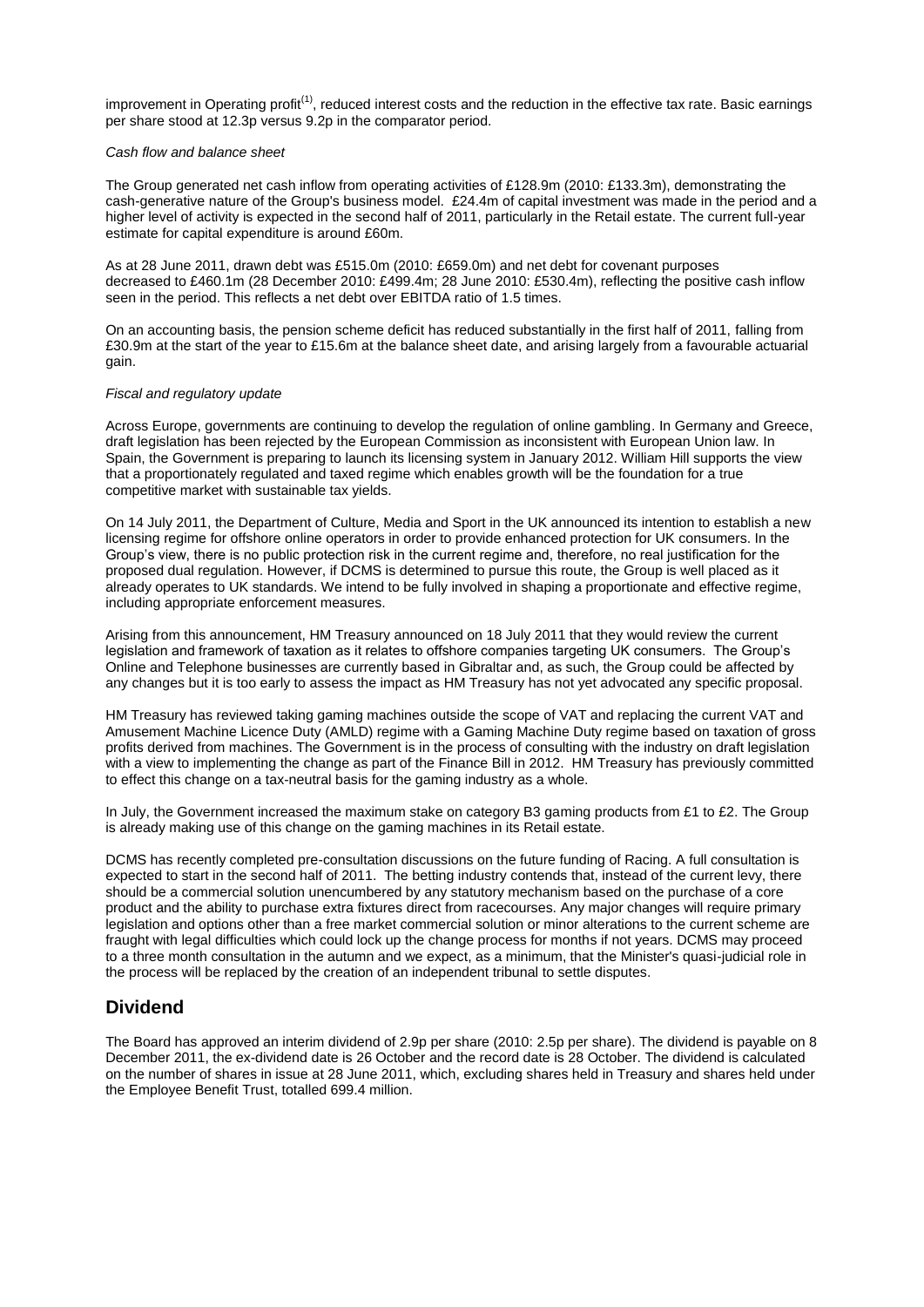improvement in Operating profit<sup>(1)</sup>, reduced interest costs and the reduction in the effective tax rate. Basic earnings per share stood at 12.3p versus 9.2p in the comparator period.

#### *Cash flow and balance sheet*

The Group generated net cash inflow from operating activities of £128.9m (2010: £133.3m), demonstrating the cash-generative nature of the Group's business model. £24.4m of capital investment was made in the period and a higher level of activity is expected in the second half of 2011, particularly in the Retail estate. The current full-year estimate for capital expenditure is around £60m.

As at 28 June 2011, drawn debt was £515.0m (2010: £659.0m) and net debt for covenant purposes decreased to £460.1m (28 December 2010: £499.4m; 28 June 2010: £530.4m), reflecting the positive cash inflow seen in the period. This reflects a net debt over EBITDA ratio of 1.5 times.

On an accounting basis, the pension scheme deficit has reduced substantially in the first half of 2011, falling from £30.9m at the start of the year to £15.6m at the balance sheet date, and arising largely from a favourable actuarial gain.

#### *Fiscal and regulatory update*

Across Europe, governments are continuing to develop the regulation of online gambling. In Germany and Greece, draft legislation has been rejected by the European Commission as inconsistent with European Union law. In Spain, the Government is preparing to launch its licensing system in January 2012. William Hill supports the view that a proportionately regulated and taxed regime which enables growth will be the foundation for a true competitive market with sustainable tax yields.

On 14 July 2011, the Department of Culture, Media and Sport in the UK announced its intention to establish a new licensing regime for offshore online operators in order to provide enhanced protection for UK consumers. In the Group's view, there is no public protection risk in the current regime and, therefore, no real justification for the proposed dual regulation. However, if DCMS is determined to pursue this route, the Group is well placed as it already operates to UK standards. We intend to be fully involved in shaping a proportionate and effective regime, including appropriate enforcement measures.

Arising from this announcement, HM Treasury announced on 18 July 2011 that they would review the current legislation and framework of taxation as it relates to offshore companies targeting UK consumers. The Group's Online and Telephone businesses are currently based in Gibraltar and, as such, the Group could be affected by any changes but it is too early to assess the impact as HM Treasury has not yet advocated any specific proposal.

HM Treasury has reviewed taking gaming machines outside the scope of VAT and replacing the current VAT and Amusement Machine Licence Duty (AMLD) regime with a Gaming Machine Duty regime based on taxation of gross profits derived from machines. The Government is in the process of consulting with the industry on draft legislation with a view to implementing the change as part of the Finance Bill in 2012. HM Treasury has previously committed to effect this change on a tax-neutral basis for the gaming industry as a whole.

In July, the Government increased the maximum stake on category B3 gaming products from £1 to £2. The Group is already making use of this change on the gaming machines in its Retail estate.

DCMS has recently completed pre-consultation discussions on the future funding of Racing. A full consultation is expected to start in the second half of 2011. The betting industry contends that, instead of the current levy, there should be a commercial solution unencumbered by any statutory mechanism based on the purchase of a core product and the ability to purchase extra fixtures direct from racecourses. Any major changes will require primary legislation and options other than a free market commercial solution or minor alterations to the current scheme are fraught with legal difficulties which could lock up the change process for months if not years. DCMS may proceed to a three month consultation in the autumn and we expect, as a minimum, that the Minister's quasi-judicial role in the process will be replaced by the creation of an independent tribunal to settle disputes.

### **Dividend**

The Board has approved an interim dividend of 2.9p per share (2010: 2.5p per share). The dividend is payable on 8 December 2011, the ex-dividend date is 26 October and the record date is 28 October. The dividend is calculated on the number of shares in issue at 28 June 2011, which, excluding shares held in Treasury and shares held under the Employee Benefit Trust, totalled 699.4 million.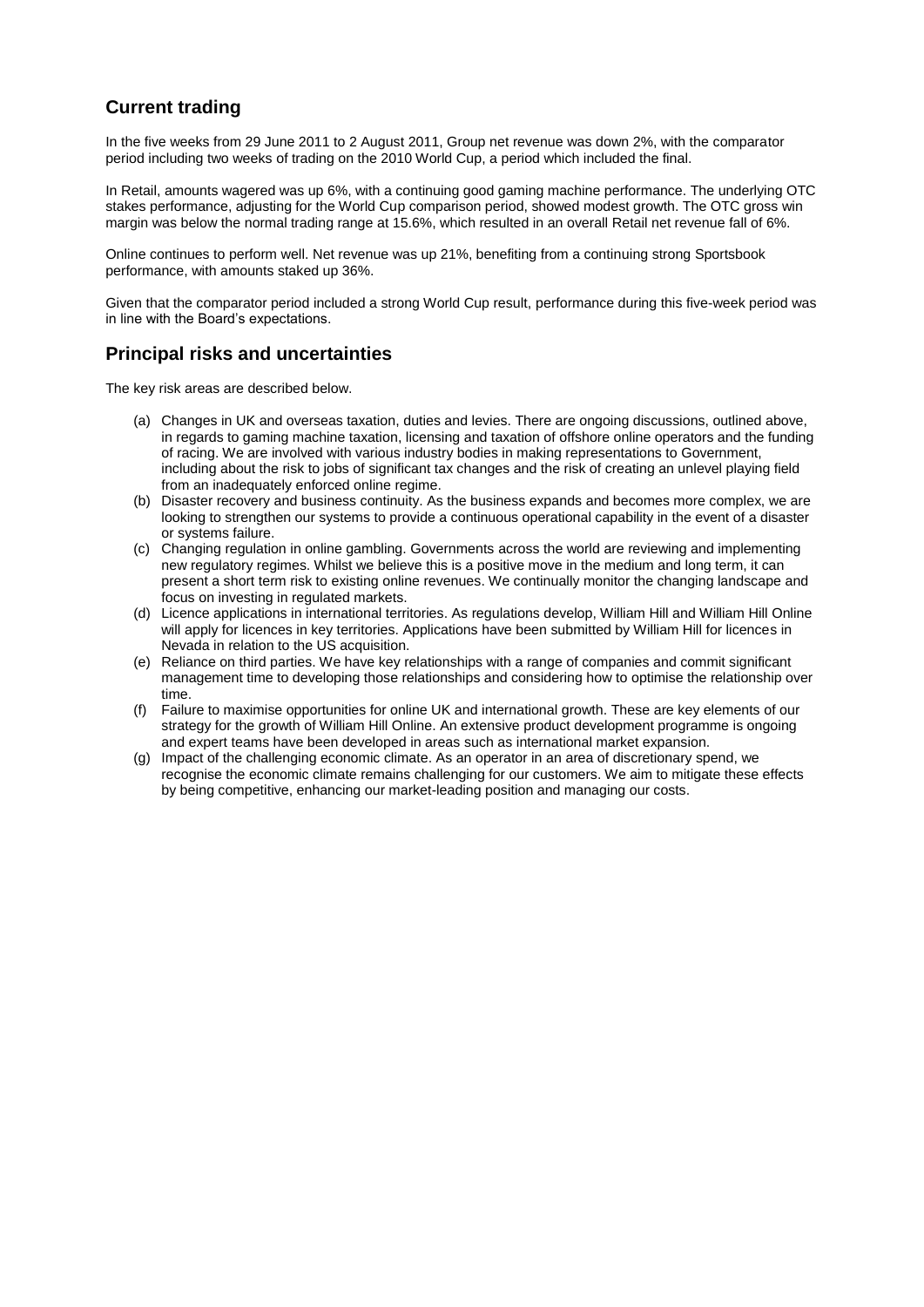# **Current trading**

In the five weeks from 29 June 2011 to 2 August 2011, Group net revenue was down 2%, with the comparator period including two weeks of trading on the 2010 World Cup, a period which included the final.

In Retail, amounts wagered was up 6%, with a continuing good gaming machine performance. The underlying OTC stakes performance, adjusting for the World Cup comparison period, showed modest growth. The OTC gross win margin was below the normal trading range at 15.6%, which resulted in an overall Retail net revenue fall of 6%.

Online continues to perform well. Net revenue was up 21%, benefiting from a continuing strong Sportsbook performance, with amounts staked up 36%.

Given that the comparator period included a strong World Cup result, performance during this five-week period was in line with the Board's expectations.

## **Principal risks and uncertainties**

The key risk areas are described below.

- (a) Changes in UK and overseas taxation, duties and levies. There are ongoing discussions, outlined above, in regards to gaming machine taxation, licensing and taxation of offshore online operators and the funding of racing. We are involved with various industry bodies in making representations to Government, including about the risk to jobs of significant tax changes and the risk of creating an unlevel playing field from an inadequately enforced online regime.
- (b) Disaster recovery and business continuity. As the business expands and becomes more complex, we are looking to strengthen our systems to provide a continuous operational capability in the event of a disaster or systems failure.
- (c) Changing regulation in online gambling. Governments across the world are reviewing and implementing new regulatory regimes. Whilst we believe this is a positive move in the medium and long term, it can present a short term risk to existing online revenues. We continually monitor the changing landscape and focus on investing in regulated markets.
- (d) Licence applications in international territories. As regulations develop, William Hill and William Hill Online will apply for licences in key territories. Applications have been submitted by William Hill for licences in Nevada in relation to the US acquisition.
- (e) Reliance on third parties. We have key relationships with a range of companies and commit significant management time to developing those relationships and considering how to optimise the relationship over time.
- (f) Failure to maximise opportunities for online UK and international growth. These are key elements of our strategy for the growth of William Hill Online. An extensive product development programme is ongoing and expert teams have been developed in areas such as international market expansion.
- (g) Impact of the challenging economic climate. As an operator in an area of discretionary spend, we recognise the economic climate remains challenging for our customers. We aim to mitigate these effects by being competitive, enhancing our market-leading position and managing our costs.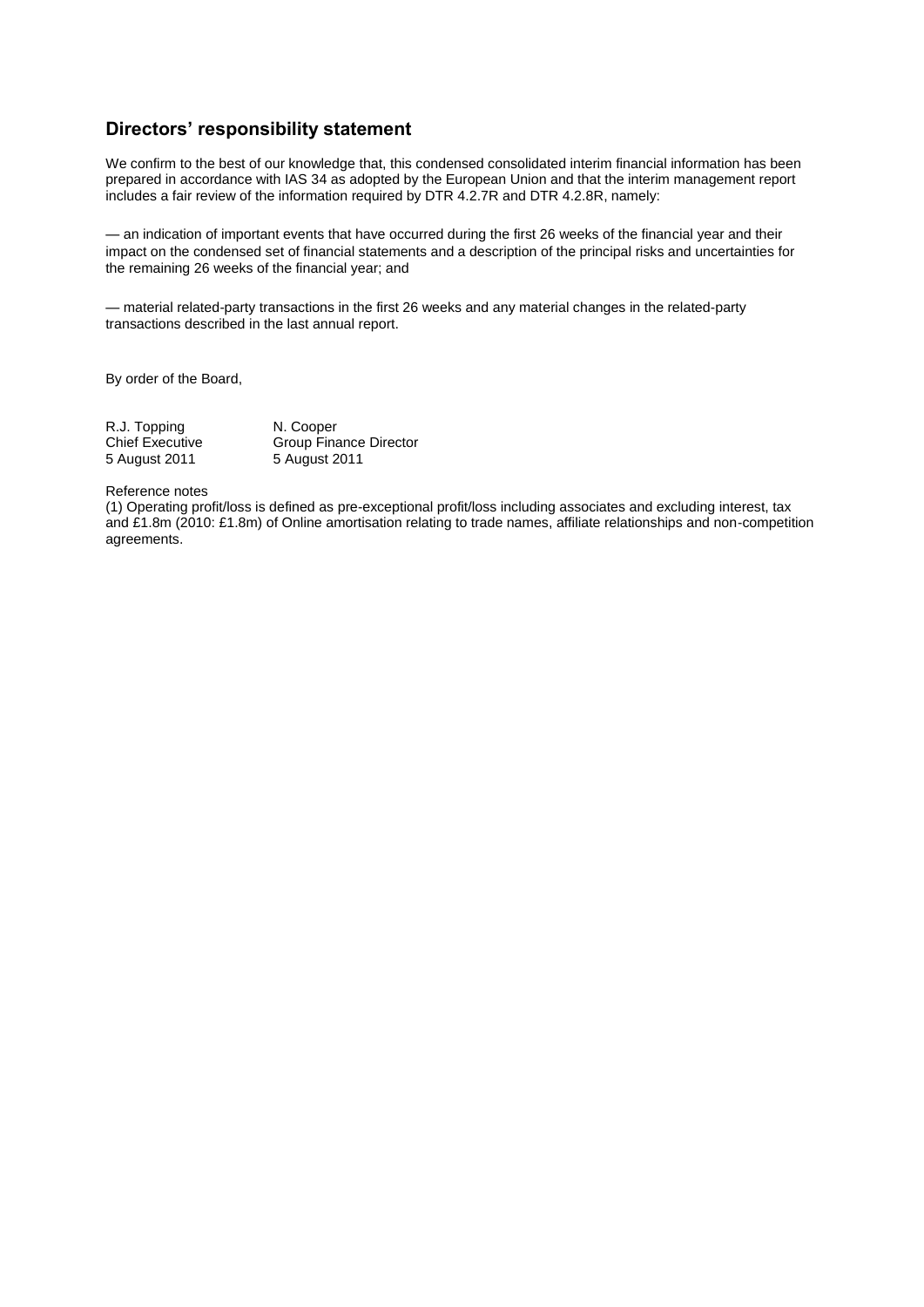## **Directors' responsibility statement**

We confirm to the best of our knowledge that, this condensed consolidated interim financial information has been prepared in accordance with IAS 34 as adopted by the European Union and that the interim management report includes a fair review of the information required by DTR 4.2.7R and DTR 4.2.8R, namely:

— an indication of important events that have occurred during the first 26 weeks of the financial year and their impact on the condensed set of financial statements and a description of the principal risks and uncertainties for the remaining 26 weeks of the financial year; and

— material related-party transactions in the first 26 weeks and any material changes in the related-party transactions described in the last annual report.

By order of the Board,

R.J. Topping N. Cooper 5 August 2011 5 August 2011

Chief Executive Group Finance Director<br>5 August 2011 5 August 2011

Reference notes

(1) Operating profit/loss is defined as pre-exceptional profit/loss including associates and excluding interest, tax and £1.8m (2010: £1.8m) of Online amortisation relating to trade names, affiliate relationships and non-competition agreements.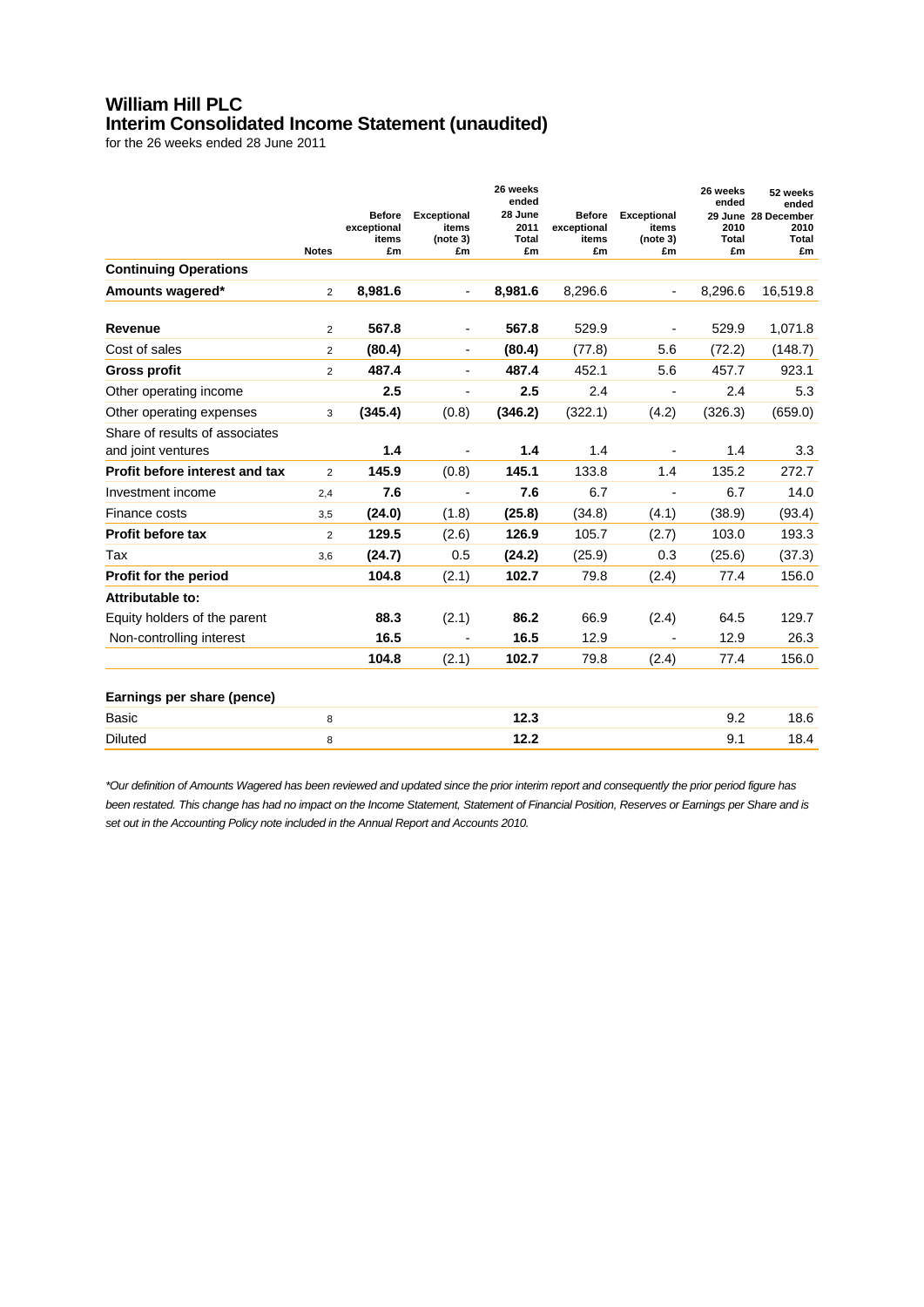## **William Hill PLC Interim Consolidated Income Statement (unaudited)**

for the 26 weeks ended 28 June 2011

|                                |                |                                       |                                         | 26 weeks<br>ended        |                                       |                                         | 26 weeks               | 52 weeks                                      |
|--------------------------------|----------------|---------------------------------------|-----------------------------------------|--------------------------|---------------------------------------|-----------------------------------------|------------------------|-----------------------------------------------|
|                                |                | <b>Before</b><br>exceptional<br>items | <b>Exceptional</b><br>items<br>(note 3) | 28 June<br>2011<br>Total | <b>Before</b><br>exceptional<br>items | <b>Exceptional</b><br>items<br>(note 3) | ended<br>2010<br>Total | ended<br>29 June 28 December<br>2010<br>Total |
|                                | <b>Notes</b>   | £m                                    | £m                                      | £m                       | £m                                    | £m                                      | £m                     | £m                                            |
| <b>Continuing Operations</b>   |                |                                       |                                         |                          |                                       |                                         |                        |                                               |
| Amounts wagered*               | $\overline{2}$ | 8,981.6                               | $\overline{\phantom{a}}$                | 8,981.6                  | 8,296.6                               | -                                       | 8,296.6                | 16,519.8                                      |
| Revenue                        | $\overline{2}$ | 567.8                                 |                                         | 567.8                    | 529.9                                 |                                         | 529.9                  | 1,071.8                                       |
| Cost of sales                  | $\overline{2}$ | (80.4)                                | $\overline{\phantom{0}}$                | (80.4)                   | (77.8)                                | 5.6                                     | (72.2)                 | (148.7)                                       |
| <b>Gross profit</b>            | $\overline{2}$ | 487.4                                 | Ξ.                                      | 487.4                    | 452.1                                 | 5.6                                     | 457.7                  | 923.1                                         |
| Other operating income         |                | 2.5                                   | ٠                                       | 2.5                      | 2.4                                   | L,                                      | 2.4                    | 5.3                                           |
| Other operating expenses       | 3              | (345.4)                               | (0.8)                                   | (346.2)                  | (322.1)                               | (4.2)                                   | (326.3)                | (659.0)                                       |
| Share of results of associates |                |                                       |                                         |                          |                                       |                                         |                        |                                               |
| and joint ventures             |                | 1.4                                   |                                         | 1.4                      | 1.4                                   |                                         | 1.4                    | 3.3                                           |
| Profit before interest and tax | $\overline{2}$ | 145.9                                 | (0.8)                                   | 145.1                    | 133.8                                 | 1.4                                     | 135.2                  | 272.7                                         |
| Investment income              | 2,4            | 7.6                                   | ۰                                       | 7.6                      | 6.7                                   | $\overline{a}$                          | 6.7                    | 14.0                                          |
| Finance costs                  | 3,5            | (24.0)                                | (1.8)                                   | (25.8)                   | (34.8)                                | (4.1)                                   | (38.9)                 | (93.4)                                        |
| <b>Profit before tax</b>       | $\overline{2}$ | 129.5                                 | (2.6)                                   | 126.9                    | 105.7                                 | (2.7)                                   | 103.0                  | 193.3                                         |
| Tax                            | 3,6            | (24.7)                                | 0.5                                     | (24.2)                   | (25.9)                                | 0.3                                     | (25.6)                 | (37.3)                                        |
| Profit for the period          |                | 104.8                                 | (2.1)                                   | 102.7                    | 79.8                                  | (2.4)                                   | 77.4                   | 156.0                                         |
| Attributable to:               |                |                                       |                                         |                          |                                       |                                         |                        |                                               |
| Equity holders of the parent   |                | 88.3                                  | (2.1)                                   | 86.2                     | 66.9                                  | (2.4)                                   | 64.5                   | 129.7                                         |
| Non-controlling interest       |                | 16.5                                  | $\blacksquare$                          | 16.5                     | 12.9                                  | $\blacksquare$                          | 12.9                   | 26.3                                          |
|                                |                | 104.8                                 | (2.1)                                   | 102.7                    | 79.8                                  | (2.4)                                   | 77.4                   | 156.0                                         |
| Earnings per share (pence)     |                |                                       |                                         |                          |                                       |                                         |                        |                                               |
| <b>Basic</b>                   | 8              |                                       |                                         | 12.3                     |                                       |                                         | 9.2                    | 18.6                                          |
| <b>Diluted</b>                 | 8              |                                       |                                         | 12.2                     |                                       |                                         | 9.1                    | 18.4                                          |

*\*Our definition of Amounts Wagered has been reviewed and updated since the prior interim report and consequently the prior period figure has been restated. This change has had no impact on the Income Statement, Statement of Financial Position, Reserves or Earnings per Share and is set out in the Accounting Policy note included in the Annual Report and Accounts 2010.*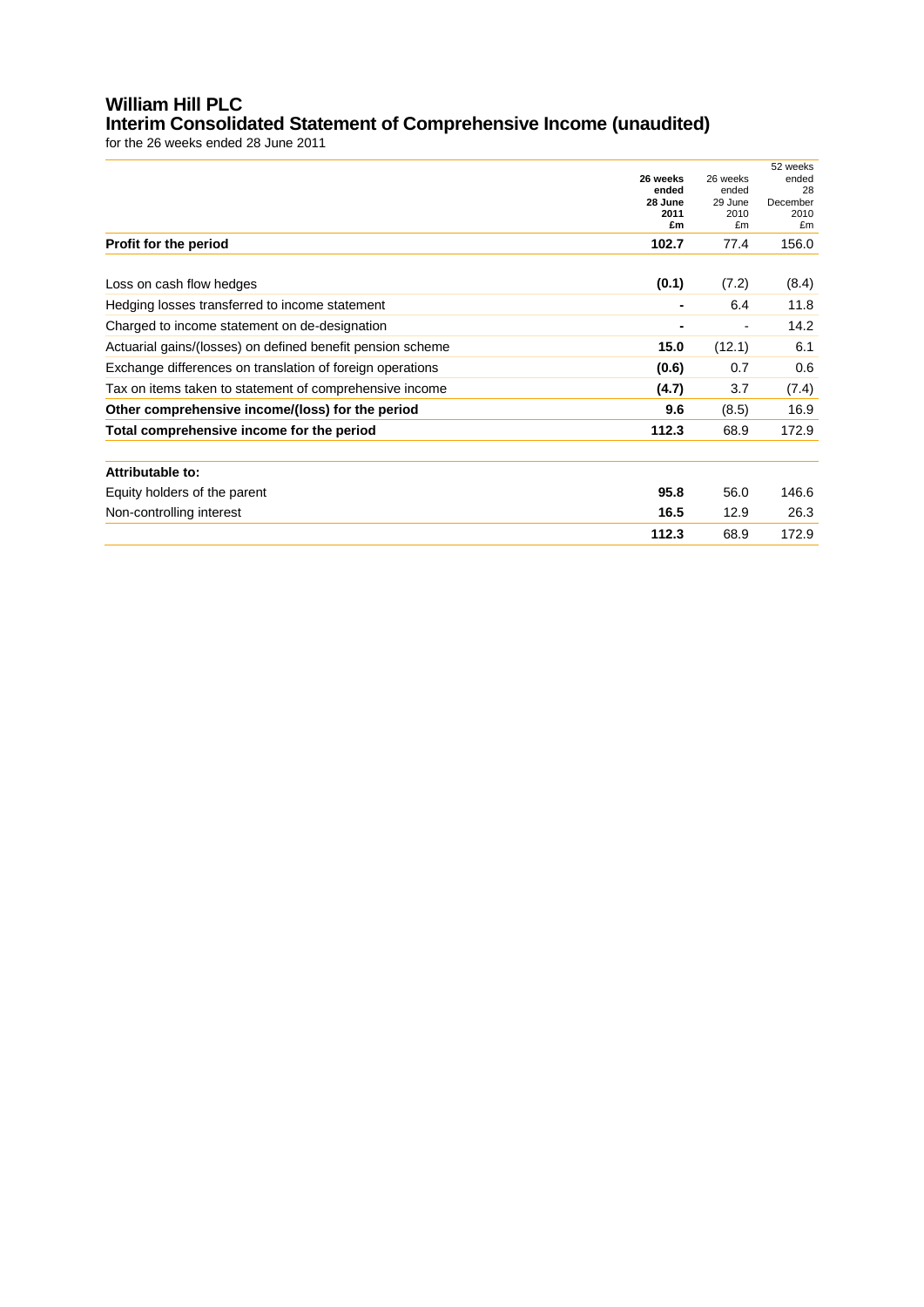### **William Hill PLC Interim Consolidated Statement of Comprehensive Income (unaudited)**

|                                                            |                   |                   | 52 weeks    |
|------------------------------------------------------------|-------------------|-------------------|-------------|
|                                                            | 26 weeks<br>ended | 26 weeks<br>ended | ended<br>28 |
|                                                            | 28 June           | 29 June           | December    |
|                                                            | 2011<br>£m        | 2010<br>£m        | 2010<br>£m  |
| Profit for the period                                      | 102.7             | 77.4              | 156.0       |
| Loss on cash flow hedges                                   | (0.1)             | (7.2)             | (8.4)       |
| Hedging losses transferred to income statement             |                   | 6.4               | 11.8        |
| Charged to income statement on de-designation              |                   |                   | 14.2        |
| Actuarial gains/(losses) on defined benefit pension scheme | 15.0              | (12.1)            | 6.1         |
| Exchange differences on translation of foreign operations  | (0.6)             | 0.7               | 0.6         |
| Tax on items taken to statement of comprehensive income    | (4.7)             | 3.7               | (7.4)       |
| Other comprehensive income/(loss) for the period           | 9.6               | (8.5)             | 16.9        |
| Total comprehensive income for the period                  | 112.3             | 68.9              | 172.9       |
| Attributable to:                                           |                   |                   |             |
| Equity holders of the parent                               | 95.8              | 56.0              | 146.6       |
| Non-controlling interest                                   | 16.5              | 12.9              | 26.3        |
|                                                            | 112.3             | 68.9              | 172.9       |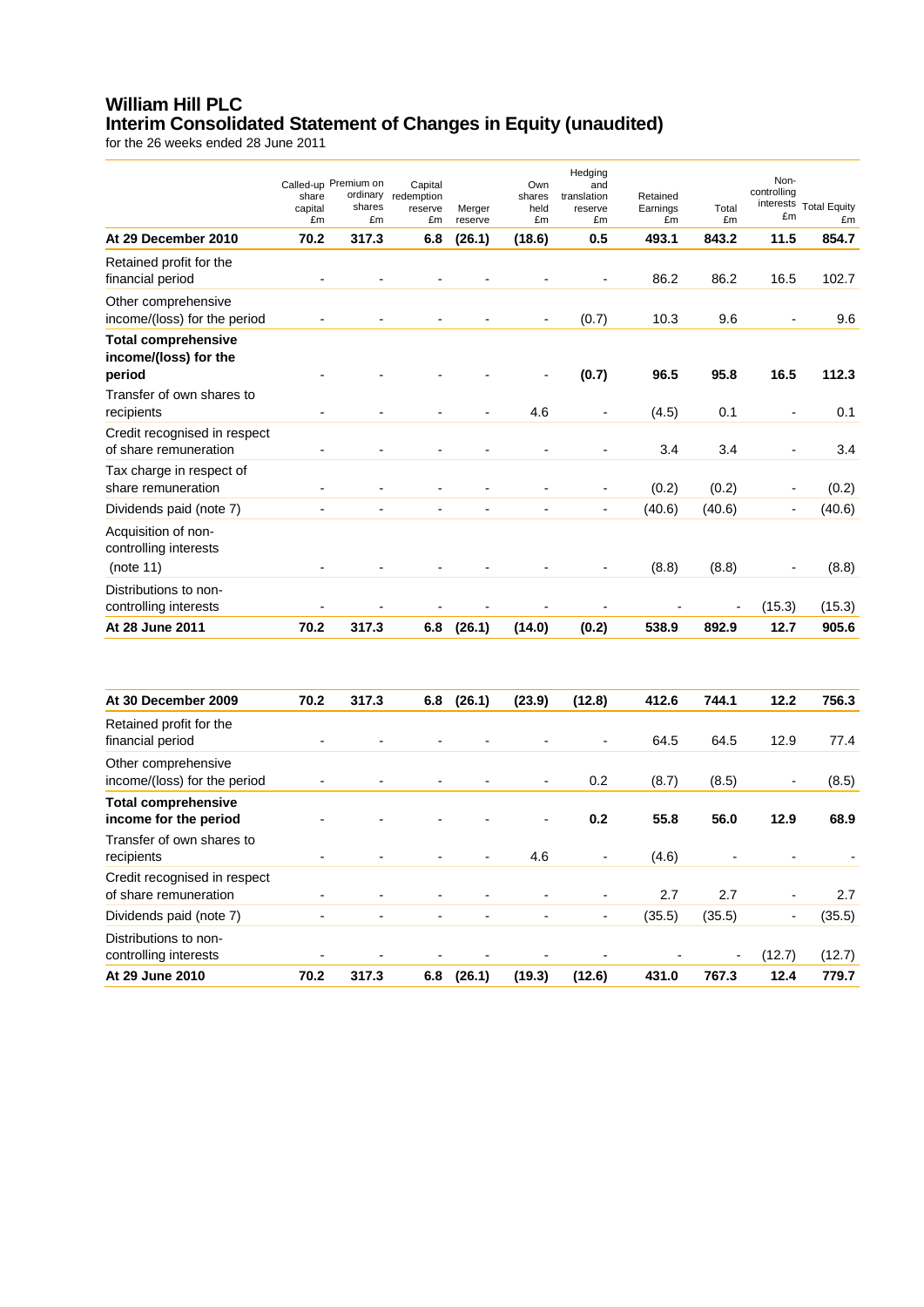## **William Hill PLC Interim Consolidated Statement of Changes in Equity (unaudited)**

| At 28 June 2011                                               | 70.2                   | 317.3                                            | 6.8                                    | (26.1)            | (14.0)                      | (0.2)                                          | 538.9                      | 892.9       | 12.7                      | 905.6                        |
|---------------------------------------------------------------|------------------------|--------------------------------------------------|----------------------------------------|-------------------|-----------------------------|------------------------------------------------|----------------------------|-------------|---------------------------|------------------------------|
| Distributions to non-<br>controlling interests                |                        |                                                  |                                        |                   |                             |                                                |                            |             | (15.3)                    | (15.3)                       |
| Acquisition of non-<br>controlling interests<br>(note 11)     |                        |                                                  |                                        |                   |                             |                                                | (8.8)                      | (8.8)       |                           | (8.8)                        |
| Dividends paid (note 7)                                       |                        |                                                  |                                        |                   |                             |                                                | (40.6)                     | (40.6)      |                           | (40.6)                       |
| Tax charge in respect of<br>share remuneration                |                        |                                                  |                                        |                   |                             |                                                | (0.2)                      | (0.2)       |                           | (0.2)                        |
| Credit recognised in respect<br>of share remuneration         |                        |                                                  |                                        |                   |                             |                                                | 3.4                        | 3.4         |                           | 3.4                          |
| Transfer of own shares to<br>recipients                       |                        |                                                  |                                        |                   | 4.6                         |                                                | (4.5)                      | 0.1         |                           | 0.1                          |
| <b>Total comprehensive</b><br>income/(loss) for the<br>period |                        |                                                  |                                        |                   |                             | (0.7)                                          | 96.5                       | 95.8        | 16.5                      | 112.3                        |
| Other comprehensive<br>income/(loss) for the period           |                        |                                                  |                                        |                   |                             | (0.7)                                          | 10.3                       | 9.6         |                           | 9.6                          |
| Retained profit for the<br>financial period                   |                        |                                                  |                                        |                   |                             |                                                | 86.2                       | 86.2        | 16.5                      | 102.7                        |
| At 29 December 2010                                           | 70.2                   | 317.3                                            | 6.8                                    | (26.1)            | (18.6)                      | 0.5                                            | 493.1                      | 843.2       | 11.5                      | 854.7                        |
|                                                               | share<br>capital<br>£m | Called-up Premium on<br>ordinary<br>shares<br>£m | Capital<br>redemption<br>reserve<br>£m | Merger<br>reserve | Own<br>shares<br>held<br>£m | Hedging<br>and<br>translation<br>reserve<br>£m | Retained<br>Earnings<br>£m | Total<br>£m | Non-<br>controlling<br>£m | interests Total Equity<br>£m |

| At 30 December 2009                                   | 70.2           | 317.3 | 6.8                      | (26.1) | (23.9) | (12.8)                   | 412.6  | 744.1  | 12.2   | 756.3  |
|-------------------------------------------------------|----------------|-------|--------------------------|--------|--------|--------------------------|--------|--------|--------|--------|
| Retained profit for the<br>financial period           |                |       |                          |        |        | $\blacksquare$           | 64.5   | 64.5   | 12.9   | 77.4   |
| Other comprehensive<br>income/(loss) for the period   | $\blacksquare$ |       |                          |        | $\sim$ | 0.2                      | (8.7)  | (8.5)  | ۰      | (8.5)  |
| <b>Total comprehensive</b><br>income for the period   |                |       |                          |        |        | 0.2                      | 55.8   | 56.0   | 12.9   | 68.9   |
| Transfer of own shares to<br>recipients               |                |       |                          |        | 4.6    | $\overline{\phantom{a}}$ | (4.6)  |        |        |        |
| Credit recognised in respect<br>of share remuneration |                |       |                          |        |        |                          | 2.7    | 2.7    | ۰.     | 2.7    |
| Dividends paid (note 7)                               |                |       | $\overline{\phantom{a}}$ |        |        | $\overline{\phantom{a}}$ | (35.5) | (35.5) | ۰      | (35.5) |
| Distributions to non-<br>controlling interests        |                |       |                          |        |        |                          |        | ۰.     | (12.7) | (12.7) |
| At 29 June 2010                                       | 70.2           | 317.3 | 6.8                      | (26.1) | (19.3) | (12.6)                   | 431.0  | 767.3  | 12.4   | 779.7  |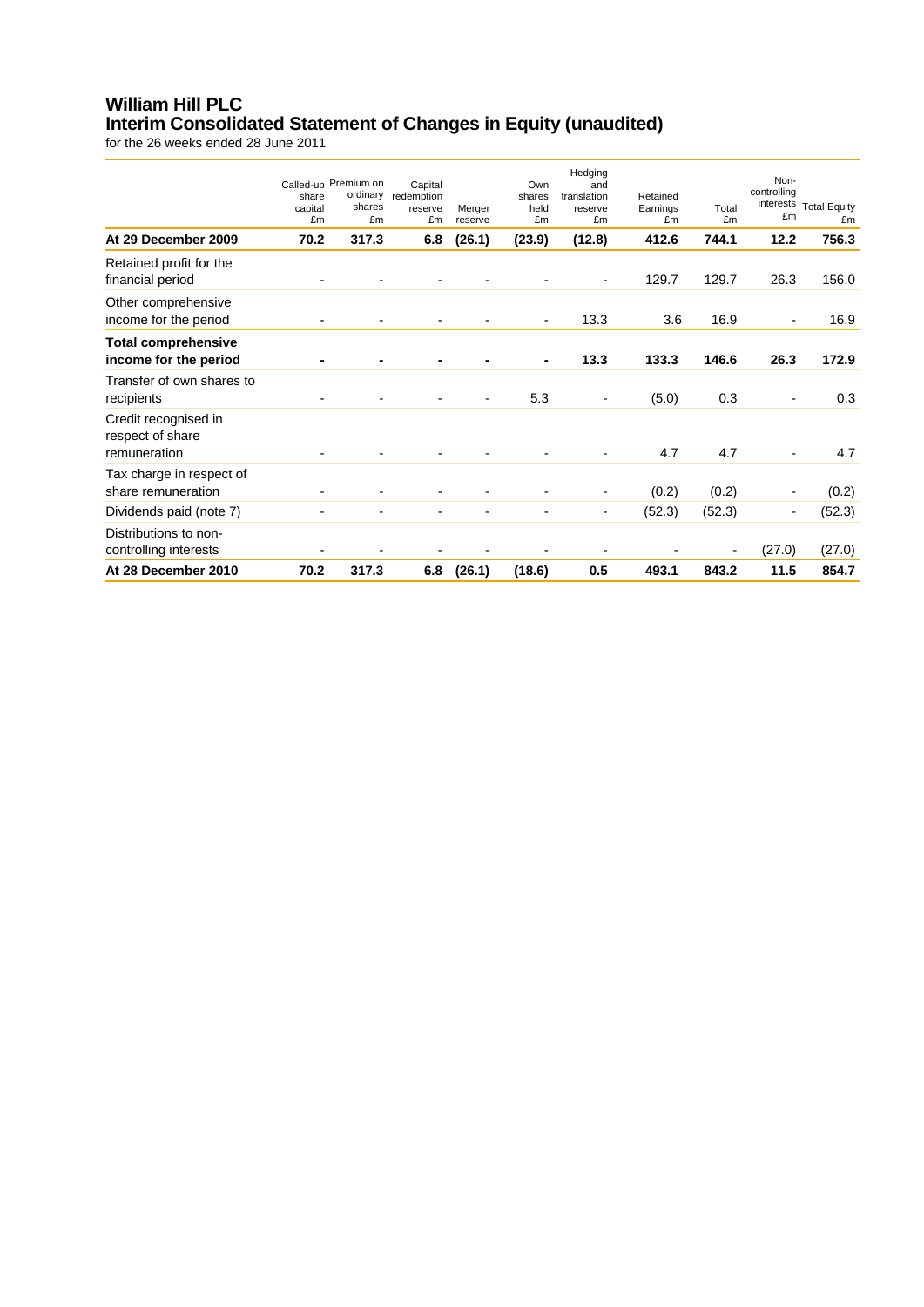## **William Hill PLC Interim Consolidated Statement of Changes in Equity (unaudited)**

|                                                          | share<br>capital<br>£m | Called-up Premium on<br>ordinary<br>shares<br>£m | Capital<br>redemption<br>reserve<br>£m | Merger<br>reserve | Own<br>shares<br>held<br>£m | Hedging<br>and<br>translation<br>reserve<br>£m | Retained<br>Earnings<br>£m | Total<br>£m | Non-<br>controlling<br>£m | interests Total Equity<br>£m |
|----------------------------------------------------------|------------------------|--------------------------------------------------|----------------------------------------|-------------------|-----------------------------|------------------------------------------------|----------------------------|-------------|---------------------------|------------------------------|
| At 29 December 2009                                      | 70.2                   | 317.3                                            | 6.8                                    | (26.1)            | (23.9)                      | (12.8)                                         | 412.6                      | 744.1       | 12.2                      | 756.3                        |
| Retained profit for the<br>financial period              |                        |                                                  |                                        |                   |                             |                                                | 129.7                      | 129.7       | 26.3                      | 156.0                        |
| Other comprehensive<br>income for the period             |                        |                                                  |                                        |                   | Ξ.                          | 13.3                                           | 3.6                        | 16.9        | $\overline{\phantom{a}}$  | 16.9                         |
| <b>Total comprehensive</b><br>income for the period      |                        |                                                  |                                        |                   |                             | 13.3                                           | 133.3                      | 146.6       | 26.3                      | 172.9                        |
| Transfer of own shares to<br>recipients                  |                        |                                                  |                                        |                   | 5.3                         |                                                | (5.0)                      | 0.3         |                           | 0.3                          |
| Credit recognised in<br>respect of share<br>remuneration |                        |                                                  |                                        |                   |                             |                                                | 4.7                        | 4.7         |                           | 4.7                          |
| Tax charge in respect of<br>share remuneration           |                        |                                                  |                                        |                   |                             |                                                | (0.2)                      | (0.2)       | $\overline{\phantom{a}}$  | (0.2)                        |
| Dividends paid (note 7)                                  |                        |                                                  |                                        |                   |                             | $\overline{\phantom{a}}$                       | (52.3)                     | (52.3)      | -                         | (52.3)                       |
| Distributions to non-<br>controlling interests           |                        |                                                  |                                        |                   |                             |                                                |                            |             | (27.0)                    | (27.0)                       |
| At 28 December 2010                                      | 70.2                   | 317.3                                            | 6.8                                    | (26.1)            | (18.6)                      | 0.5                                            | 493.1                      | 843.2       | 11.5                      | 854.7                        |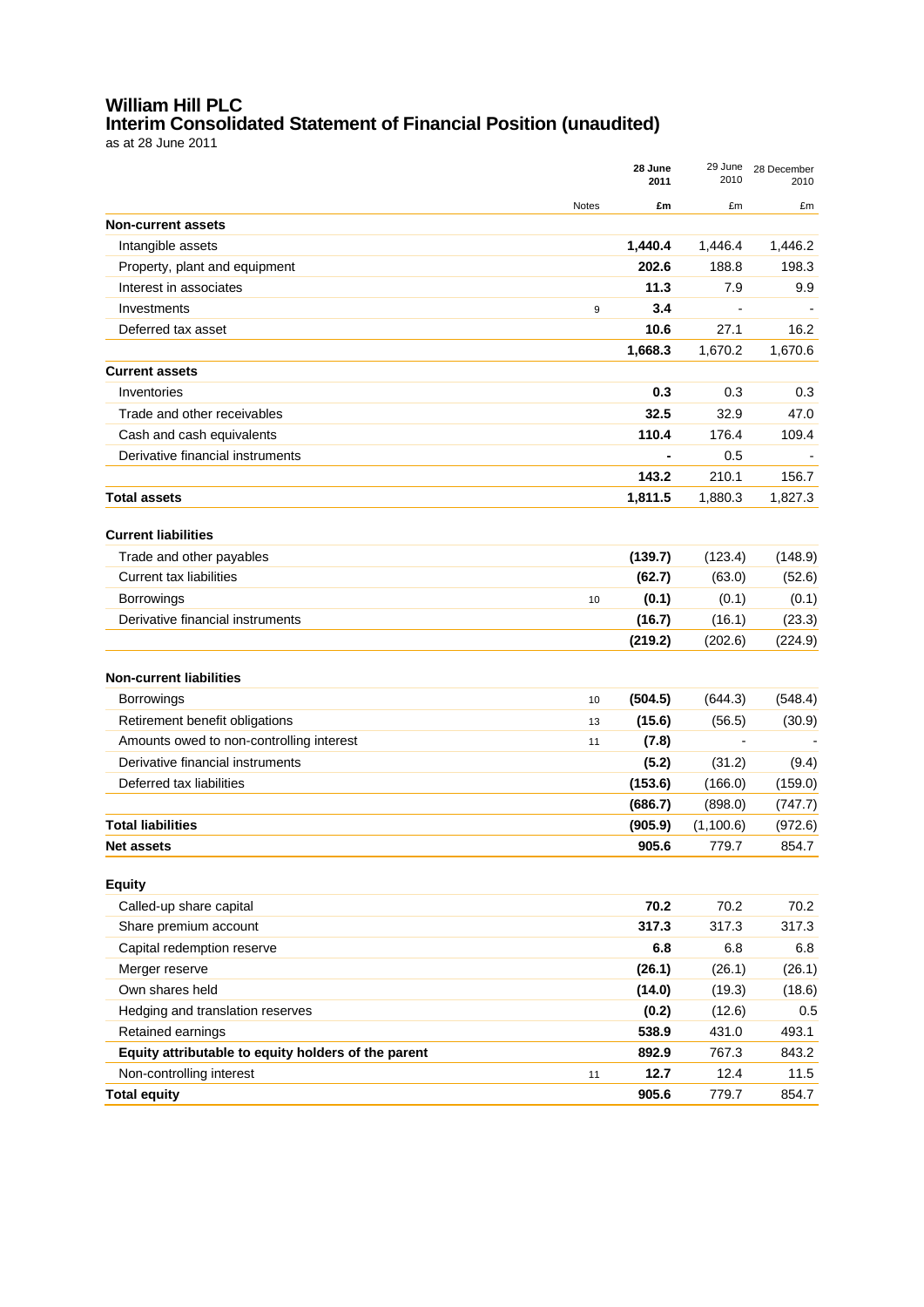# **William Hill PLC Interim Consolidated Statement of Financial Position (unaudited)**

as at 28 June 2011

|                                                     |       | 28 June<br>2011 | 29 June<br>2010 | 28 December<br>2010 |
|-----------------------------------------------------|-------|-----------------|-----------------|---------------------|
|                                                     | Notes | £m              | £m              | £m                  |
| <b>Non-current assets</b>                           |       |                 |                 |                     |
| Intangible assets                                   |       | 1,440.4         | 1,446.4         | 1,446.2             |
| Property, plant and equipment                       |       | 202.6           | 188.8           | 198.3               |
| Interest in associates                              |       | 11.3            | 7.9             | 9.9                 |
| Investments                                         | 9     | 3.4             |                 |                     |
| Deferred tax asset                                  |       | 10.6            | 27.1            | 16.2                |
|                                                     |       | 1,668.3         | 1,670.2         | 1,670.6             |
| <b>Current assets</b>                               |       |                 |                 |                     |
| Inventories                                         |       | 0.3             | 0.3             | 0.3                 |
| Trade and other receivables                         |       | 32.5            | 32.9            | 47.0                |
| Cash and cash equivalents                           |       | 110.4           | 176.4           | 109.4               |
| Derivative financial instruments                    |       |                 | 0.5             |                     |
|                                                     |       | 143.2           | 210.1           | 156.7               |
| <b>Total assets</b>                                 |       | 1,811.5         | 1,880.3         | 1,827.3             |
|                                                     |       |                 |                 |                     |
| <b>Current liabilities</b>                          |       |                 |                 |                     |
| Trade and other payables                            |       | (139.7)         | (123.4)         | (148.9)             |
| <b>Current tax liabilities</b>                      |       | (62.7)          | (63.0)          | (52.6)              |
| Borrowings                                          | 10    | (0.1)           | (0.1)           | (0.1)               |
| Derivative financial instruments                    |       | (16.7)          | (16.1)          | (23.3)              |
|                                                     |       | (219.2)         | (202.6)         | (224.9)             |
| <b>Non-current liabilities</b>                      |       |                 |                 |                     |
| Borrowings                                          | 10    | (504.5)         | (644.3)         | (548.4)             |
| Retirement benefit obligations                      | 13    | (15.6)          | (56.5)          | (30.9)              |
| Amounts owed to non-controlling interest            | 11    | (7.8)           | $\overline{a}$  |                     |
| Derivative financial instruments                    |       | (5.2)           | (31.2)          | (9.4)               |
| Deferred tax liabilities                            |       | (153.6)         | (166.0)         | (159.0)             |
|                                                     |       | (686.7)         | (898.0)         | (747.7)             |
| <b>Total liabilities</b>                            |       | (905.9)         | (1, 100.6)      | (972.6)             |
| <b>Net assets</b>                                   |       | 905.6           | 779.7           | 854.7               |
|                                                     |       |                 |                 |                     |
| <b>Equity</b>                                       |       |                 |                 |                     |
| Called-up share capital                             |       | 70.2            | 70.2            | 70.2                |
| Share premium account                               |       | 317.3           | 317.3           | 317.3               |
| Capital redemption reserve                          |       | 6.8             | 6.8             | 6.8                 |
| Merger reserve                                      |       | (26.1)          | (26.1)          | (26.1)              |
| Own shares held                                     |       | (14.0)          | (19.3)          | (18.6)              |
| Hedging and translation reserves                    |       | (0.2)           | (12.6)          | 0.5                 |
| Retained earnings                                   |       | 538.9           | 431.0           | 493.1               |
| Equity attributable to equity holders of the parent |       | 892.9           | 767.3           | 843.2               |
| Non-controlling interest                            | 11    | 12.7            | 12.4            | 11.5                |
| <b>Total equity</b>                                 |       | 905.6           | 779.7           | 854.7               |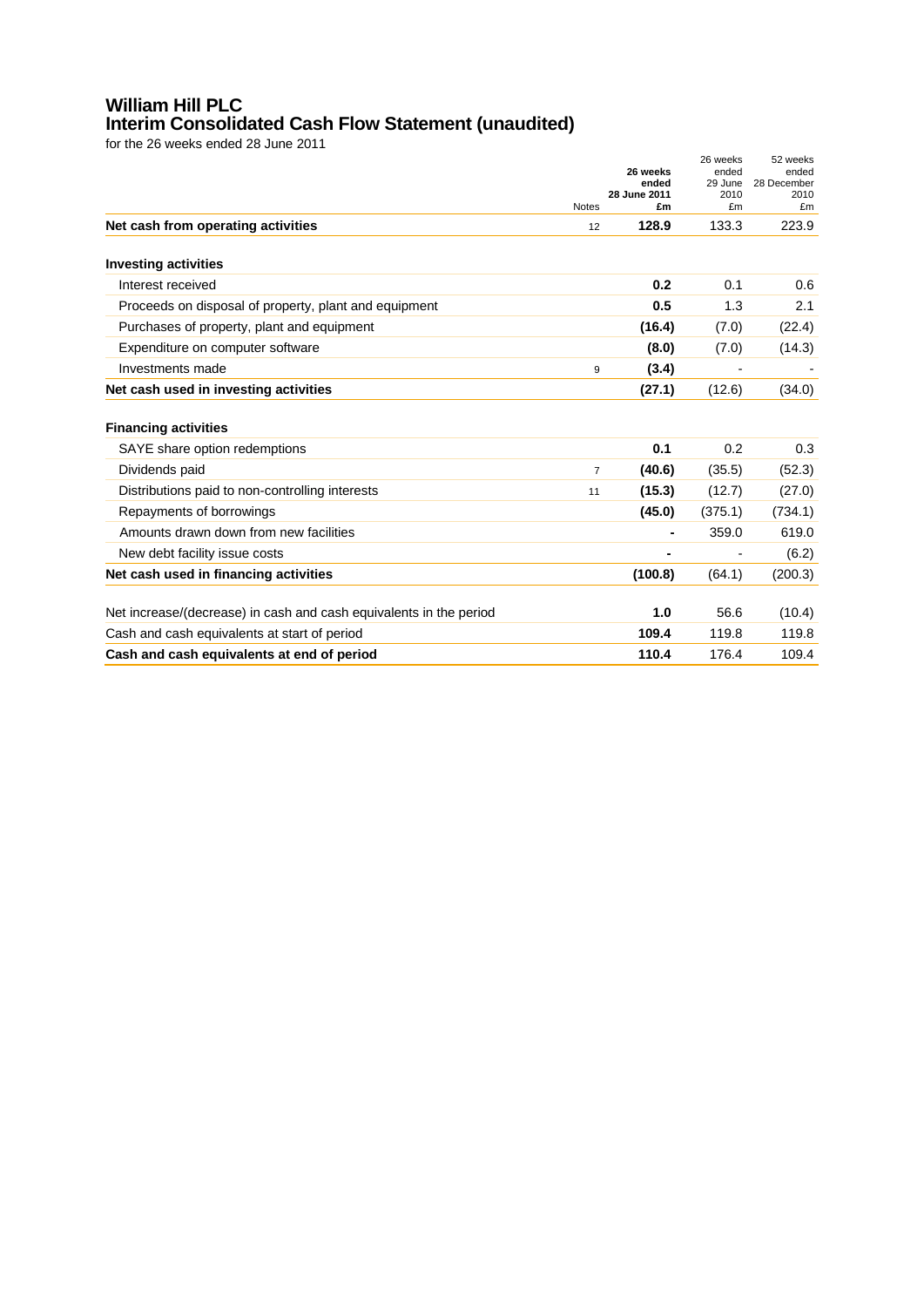## **William Hill PLC Interim Consolidated Cash Flow Statement (unaudited)**

|                                                                    |                | 26 weeks           | 26 weeks<br>ended | 52 weeks<br>ended |
|--------------------------------------------------------------------|----------------|--------------------|-------------------|-------------------|
|                                                                    |                | ended              | 29 June           | 28 December       |
|                                                                    | <b>Notes</b>   | 28 June 2011<br>£m | 2010<br>£m        | 2010<br>£m        |
| Net cash from operating activities                                 | 12             | 128.9              | 133.3             | 223.9             |
| <b>Investing activities</b>                                        |                |                    |                   |                   |
| Interest received                                                  |                | 0.2                | 0.1               | 0.6               |
| Proceeds on disposal of property, plant and equipment              |                | 0.5                | 1.3               | 2.1               |
| Purchases of property, plant and equipment                         |                | (16.4)             | (7.0)             | (22.4)            |
| Expenditure on computer software                                   |                | (8.0)              | (7.0)             | (14.3)            |
| Investments made                                                   | 9              | (3.4)              |                   |                   |
| Net cash used in investing activities                              |                | (27.1)             | (12.6)            | (34.0)            |
| <b>Financing activities</b>                                        |                |                    |                   |                   |
| SAYE share option redemptions                                      |                | 0.1                | 0.2               | 0.3               |
| Dividends paid                                                     | $\overline{7}$ | (40.6)             | (35.5)            | (52.3)            |
| Distributions paid to non-controlling interests                    | 11             | (15.3)             | (12.7)            | (27.0)            |
| Repayments of borrowings                                           |                | (45.0)             | (375.1)           | (734.1)           |
| Amounts drawn down from new facilities                             |                |                    | 359.0             | 619.0             |
| New debt facility issue costs                                      |                | ۰                  |                   | (6.2)             |
| Net cash used in financing activities                              |                | (100.8)            | (64.1)            | (200.3)           |
| Net increase/(decrease) in cash and cash equivalents in the period |                | 1.0                | 56.6              | (10.4)            |
| Cash and cash equivalents at start of period                       |                | 109.4              | 119.8             | 119.8             |
| Cash and cash equivalents at end of period                         |                | 110.4              | 176.4             | 109.4             |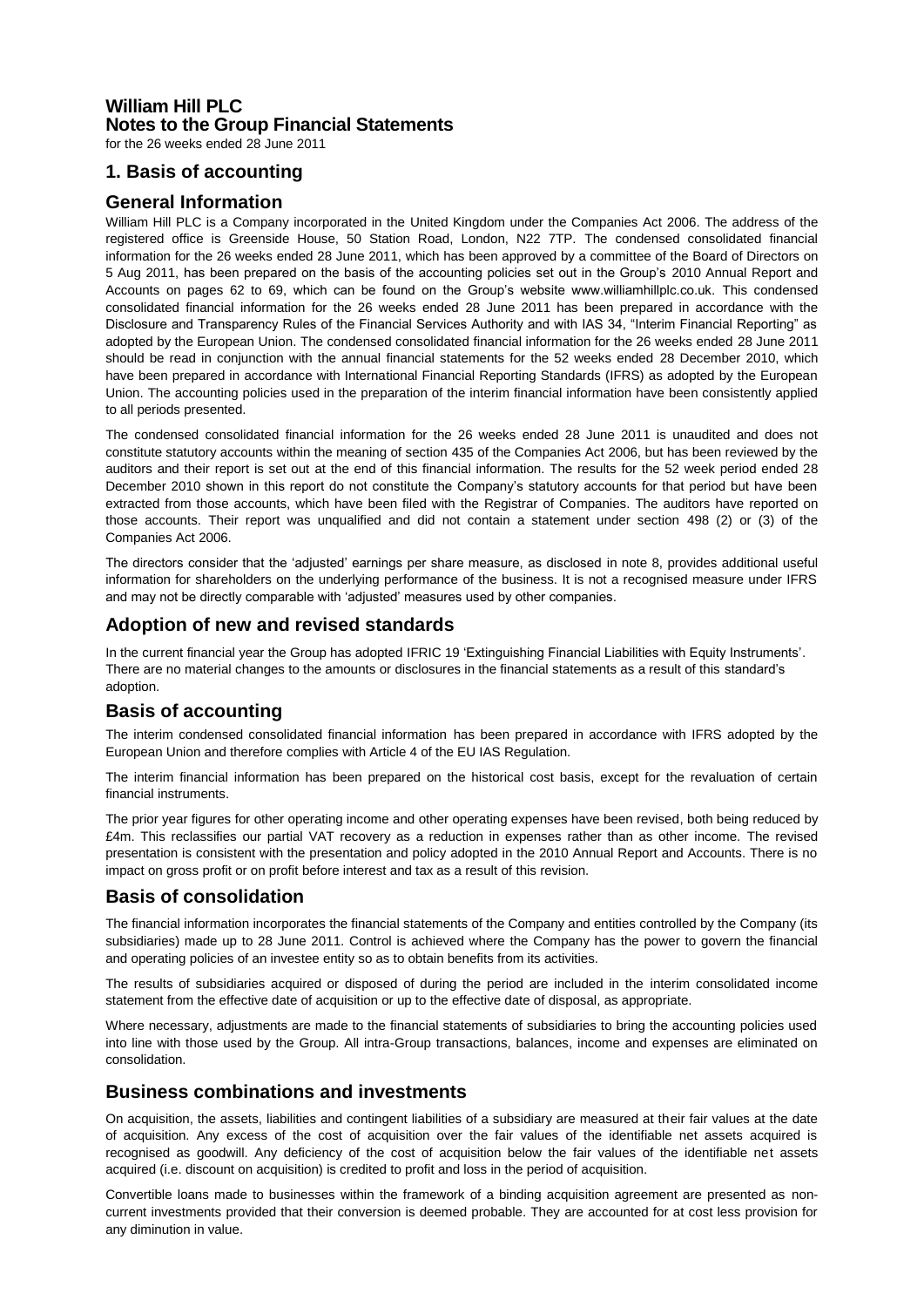## **William Hill PLC Notes to the Group Financial Statements**

for the 26 weeks ended 28 June 2011

# **1. Basis of accounting**

### **General Information**

William Hill PLC is a Company incorporated in the United Kingdom under the Companies Act 2006. The address of the registered office is Greenside House, 50 Station Road, London, N22 7TP. The condensed consolidated financial information for the 26 weeks ended 28 June 2011, which has been approved by a committee of the Board of Directors on 5 Aug 2011, has been prepared on the basis of the accounting policies set out in the Group's 2010 Annual Report and Accounts on pages 62 to 69, which can be found on the Group's website www.williamhillplc.co.uk. This condensed consolidated financial information for the 26 weeks ended 28 June 2011 has been prepared in accordance with the Disclosure and Transparency Rules of the Financial Services Authority and with IAS 34, "Interim Financial Reporting" as adopted by the European Union. The condensed consolidated financial information for the 26 weeks ended 28 June 2011 should be read in conjunction with the annual financial statements for the 52 weeks ended 28 December 2010, which have been prepared in accordance with International Financial Reporting Standards (IFRS) as adopted by the European Union. The accounting policies used in the preparation of the interim financial information have been consistently applied to all periods presented.

The condensed consolidated financial information for the 26 weeks ended 28 June 2011 is unaudited and does not constitute statutory accounts within the meaning of section 435 of the Companies Act 2006, but has been reviewed by the auditors and their report is set out at the end of this financial information. The results for the 52 week period ended 28 December 2010 shown in this report do not constitute the Company's statutory accounts for that period but have been extracted from those accounts, which have been filed with the Registrar of Companies. The auditors have reported on those accounts. Their report was unqualified and did not contain a statement under section 498 (2) or (3) of the Companies Act 2006.

The directors consider that the 'adjusted' earnings per share measure, as disclosed in note 8, provides additional useful information for shareholders on the underlying performance of the business. It is not a recognised measure under IFRS and may not be directly comparable with 'adjusted' measures used by other companies.

### **Adoption of new and revised standards**

In the current financial year the Group has adopted IFRIC 19 'Extinguishing Financial Liabilities with Equity Instruments'. There are no material changes to the amounts or disclosures in the financial statements as a result of this standard's adoption.

### **Basis of accounting**

The interim condensed consolidated financial information has been prepared in accordance with IFRS adopted by the European Union and therefore complies with Article 4 of the EU IAS Regulation.

The interim financial information has been prepared on the historical cost basis, except for the revaluation of certain financial instruments.

The prior year figures for other operating income and other operating expenses have been revised, both being reduced by £4m. This reclassifies our partial VAT recovery as a reduction in expenses rather than as other income. The revised presentation is consistent with the presentation and policy adopted in the 2010 Annual Report and Accounts. There is no impact on gross profit or on profit before interest and tax as a result of this revision.

### **Basis of consolidation**

The financial information incorporates the financial statements of the Company and entities controlled by the Company (its subsidiaries) made up to 28 June 2011. Control is achieved where the Company has the power to govern the financial and operating policies of an investee entity so as to obtain benefits from its activities.

The results of subsidiaries acquired or disposed of during the period are included in the interim consolidated income statement from the effective date of acquisition or up to the effective date of disposal, as appropriate.

Where necessary, adjustments are made to the financial statements of subsidiaries to bring the accounting policies used into line with those used by the Group. All intra-Group transactions, balances, income and expenses are eliminated on consolidation.

### **Business combinations and investments**

On acquisition, the assets, liabilities and contingent liabilities of a subsidiary are measured at their fair values at the date of acquisition. Any excess of the cost of acquisition over the fair values of the identifiable net assets acquired is recognised as goodwill. Any deficiency of the cost of acquisition below the fair values of the identifiable net assets acquired (i.e. discount on acquisition) is credited to profit and loss in the period of acquisition.

Convertible loans made to businesses within the framework of a binding acquisition agreement are presented as noncurrent investments provided that their conversion is deemed probable. They are accounted for at cost less provision for any diminution in value.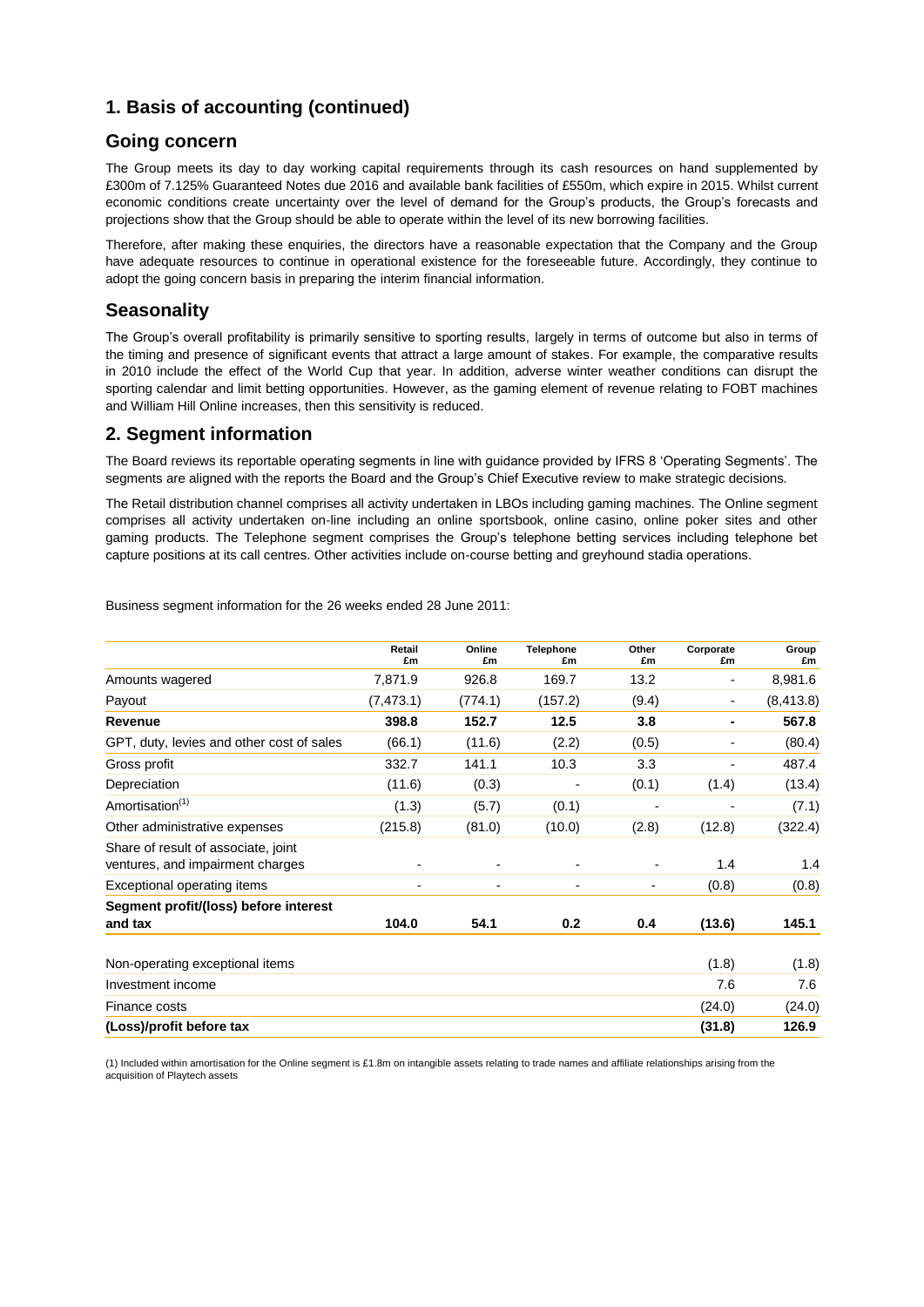## **1. Basis of accounting (continued)**

### **Going concern**

The Group meets its day to day working capital requirements through its cash resources on hand supplemented by £300m of 7.125% Guaranteed Notes due 2016 and available bank facilities of £550m, which expire in 2015. Whilst current economic conditions create uncertainty over the level of demand for the Group's products, the Group's forecasts and projections show that the Group should be able to operate within the level of its new borrowing facilities.

Therefore, after making these enquiries, the directors have a reasonable expectation that the Company and the Group have adequate resources to continue in operational existence for the foreseeable future. Accordingly, they continue to adopt the going concern basis in preparing the interim financial information.

## **Seasonality**

The Group's overall profitability is primarily sensitive to sporting results, largely in terms of outcome but also in terms of the timing and presence of significant events that attract a large amount of stakes. For example, the comparative results in 2010 include the effect of the World Cup that year. In addition, adverse winter weather conditions can disrupt the sporting calendar and limit betting opportunities. However, as the gaming element of revenue relating to FOBT machines and William Hill Online increases, then this sensitivity is reduced.

### **2. Segment information**

The Board reviews its reportable operating segments in line with guidance provided by IFRS 8 'Operating Segments'. The segments are aligned with the reports the Board and the Group's Chief Executive review to make strategic decisions.

The Retail distribution channel comprises all activity undertaken in LBOs including gaming machines. The Online segment comprises all activity undertaken on-line including an online sportsbook, online casino, online poker sites and other gaming products. The Telephone segment comprises the Group's telephone betting services including telephone bet capture positions at its call centres. Other activities include on-course betting and greyhound stadia operations.

|                                                                         | Retail<br>£m | Online<br>£m             | <b>Telephone</b><br>£m   | Other<br>£m | Corporate<br>£m          | Group<br>£m |
|-------------------------------------------------------------------------|--------------|--------------------------|--------------------------|-------------|--------------------------|-------------|
| Amounts wagered                                                         | 7,871.9      | 926.8                    | 169.7                    | 13.2        | $\overline{\phantom{a}}$ | 8,981.6     |
| Payout                                                                  | (7, 473.1)   | (774.1)                  | (157.2)                  | (9.4)       | $\overline{\phantom{a}}$ | (8, 413.8)  |
| Revenue                                                                 | 398.8        | 152.7                    | 12.5                     | 3.8         | ۰                        | 567.8       |
| GPT, duty, levies and other cost of sales                               | (66.1)       | (11.6)                   | (2.2)                    | (0.5)       | $\overline{\phantom{a}}$ | (80.4)      |
| Gross profit                                                            | 332.7        | 141.1                    | 10.3                     | 3.3         |                          | 487.4       |
| Depreciation                                                            | (11.6)       | (0.3)                    |                          | (0.1)       | (1.4)                    | (13.4)      |
| Amortisation <sup>(1)</sup>                                             | (1.3)        | (5.7)                    | (0.1)                    |             | -                        | (7.1)       |
| Other administrative expenses                                           | (215.8)      | (81.0)                   | (10.0)                   | (2.8)       | (12.8)                   | (322.4)     |
| Share of result of associate, joint<br>ventures, and impairment charges |              |                          |                          |             | 1.4                      | 1.4         |
| Exceptional operating items                                             | ۰            | $\overline{\phantom{a}}$ | $\overline{\phantom{a}}$ | ٠           | (0.8)                    | (0.8)       |
| Segment profit/(loss) before interest<br>and tax                        | 104.0        | 54.1                     | 0.2                      | 0.4         | (13.6)                   | 145.1       |
| Non-operating exceptional items                                         |              |                          |                          |             | (1.8)                    | (1.8)       |
| Investment income                                                       |              |                          |                          |             | 7.6                      | 7.6         |
| Finance costs                                                           |              |                          |                          |             | (24.0)                   | (24.0)      |
| (Loss)/profit before tax                                                |              |                          |                          |             | (31.8)                   | 126.9       |

Business segment information for the 26 weeks ended 28 June 2011:

(1) Included within amortisation for the Online segment is £1.8m on intangible assets relating to trade names and affiliate relationships arising from the acquisition of Playtech assets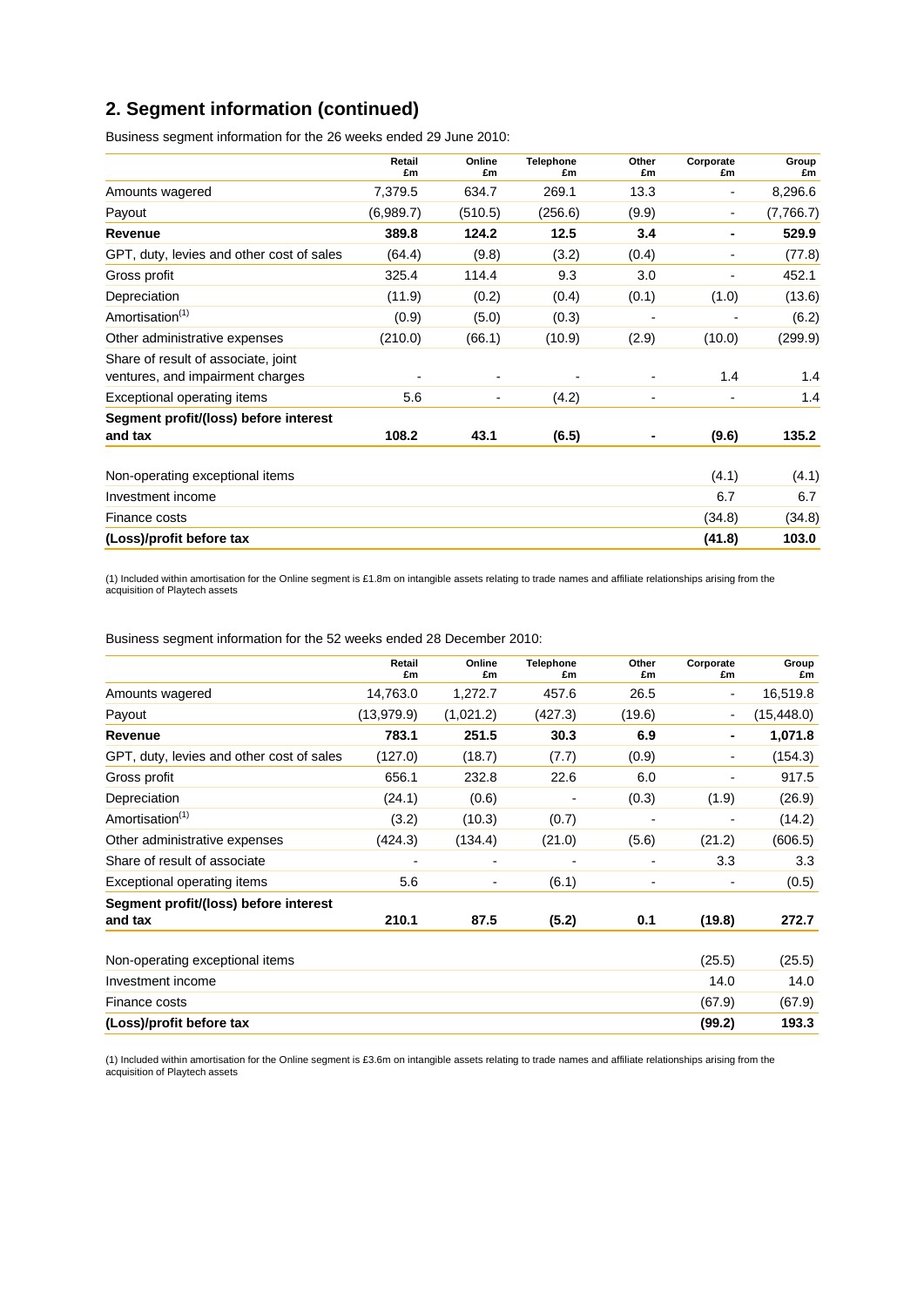# **2. Segment information (continued)**

Business segment information for the 26 weeks ended 29 June 2010:

|                                                                         | Retail<br>£m | Online<br>£m | <b>Telephone</b><br>£m | Other<br>£m    | Corporate<br>£m          | Group<br>£m |
|-------------------------------------------------------------------------|--------------|--------------|------------------------|----------------|--------------------------|-------------|
| Amounts wagered                                                         | 7,379.5      | 634.7        | 269.1                  | 13.3           | -                        | 8,296.6     |
| Payout                                                                  | (6,989.7)    | (510.5)      | (256.6)                | (9.9)          | $\overline{\phantom{a}}$ | (7,766.7)   |
| <b>Revenue</b>                                                          | 389.8        | 124.2        | 12.5                   | 3.4            | ۰                        | 529.9       |
| GPT, duty, levies and other cost of sales                               | (64.4)       | (9.8)        | (3.2)                  | (0.4)          | $\overline{\phantom{a}}$ | (77.8)      |
| Gross profit                                                            | 325.4        | 114.4        | 9.3                    | 3.0            |                          | 452.1       |
| Depreciation                                                            | (11.9)       | (0.2)        | (0.4)                  | (0.1)          | (1.0)                    | (13.6)      |
| Amortisation <sup>(1)</sup>                                             | (0.9)        | (5.0)        | (0.3)                  | $\blacksquare$ |                          | (6.2)       |
| Other administrative expenses                                           | (210.0)      | (66.1)       | (10.9)                 | (2.9)          | (10.0)                   | (299.9)     |
| Share of result of associate, joint<br>ventures, and impairment charges |              |              |                        |                | 1.4                      | 1.4         |
| Exceptional operating items                                             | 5.6          | -            | (4.2)                  | -              | $\overline{\phantom{a}}$ | 1.4         |
| Segment profit/(loss) before interest<br>and tax                        | 108.2        | 43.1         | (6.5)                  |                | (9.6)                    | 135.2       |
| Non-operating exceptional items                                         |              |              |                        |                | (4.1)                    | (4.1)       |
| Investment income                                                       |              |              |                        |                | 6.7                      | 6.7         |
| Finance costs                                                           |              |              |                        |                | (34.8)                   | (34.8)      |
| (Loss)/profit before tax                                                |              |              |                        |                | (41.8)                   | 103.0       |

(1) Included within amortisation for the Online segment is £1.8m on intangible assets relating to trade names and affiliate relationships arising from the acquisition of Playtech assets

Business segment information for the 52 weeks ended 28 December 2010:

|                                           | Retail<br>£m | Online<br>£m | <b>Telephone</b><br>£m | Other<br>£m              | Corporate<br>£m          | Group<br>£m |
|-------------------------------------------|--------------|--------------|------------------------|--------------------------|--------------------------|-------------|
| Amounts wagered                           | 14,763.0     | 1,272.7      | 457.6                  | 26.5                     | $\overline{\phantom{a}}$ | 16,519.8    |
| Payout                                    | (13,979.9)   | (1,021.2)    | (427.3)                | (19.6)                   | $\overline{\phantom{a}}$ | (15, 448.0) |
| Revenue                                   | 783.1        | 251.5        | 30.3                   | 6.9                      |                          | 1,071.8     |
| GPT, duty, levies and other cost of sales | (127.0)      | (18.7)       | (7.7)                  | (0.9)                    |                          | (154.3)     |
| Gross profit                              | 656.1        | 232.8        | 22.6                   | 6.0                      |                          | 917.5       |
| Depreciation                              | (24.1)       | (0.6)        |                        | (0.3)                    | (1.9)                    | (26.9)      |
| Amortisation <sup>(1)</sup>               | (3.2)        | (10.3)       | (0.7)                  | $\overline{\phantom{0}}$ |                          | (14.2)      |
| Other administrative expenses             | (424.3)      | (134.4)      | (21.0)                 | (5.6)                    | (21.2)                   | (606.5)     |
| Share of result of associate              |              |              |                        | $\blacksquare$           | 3.3                      | 3.3         |
| Exceptional operating items               | 5.6          | -            | (6.1)                  | -                        |                          | (0.5)       |
| Segment profit/(loss) before interest     |              |              |                        |                          |                          |             |
| and tax                                   | 210.1        | 87.5         | (5.2)                  | 0.1                      | (19.8)                   | 272.7       |
| Non-operating exceptional items           |              |              |                        |                          | (25.5)                   | (25.5)      |
| Investment income                         |              |              |                        |                          | 14.0                     | 14.0        |
| Finance costs                             |              |              |                        |                          | (67.9)                   | (67.9)      |
| (Loss)/profit before tax                  |              |              |                        |                          | (99.2)                   | 193.3       |

(1) Included within amortisation for the Online segment is £3.6m on intangible assets relating to trade names and affiliate relationships arising from the acquisition of Playtech assets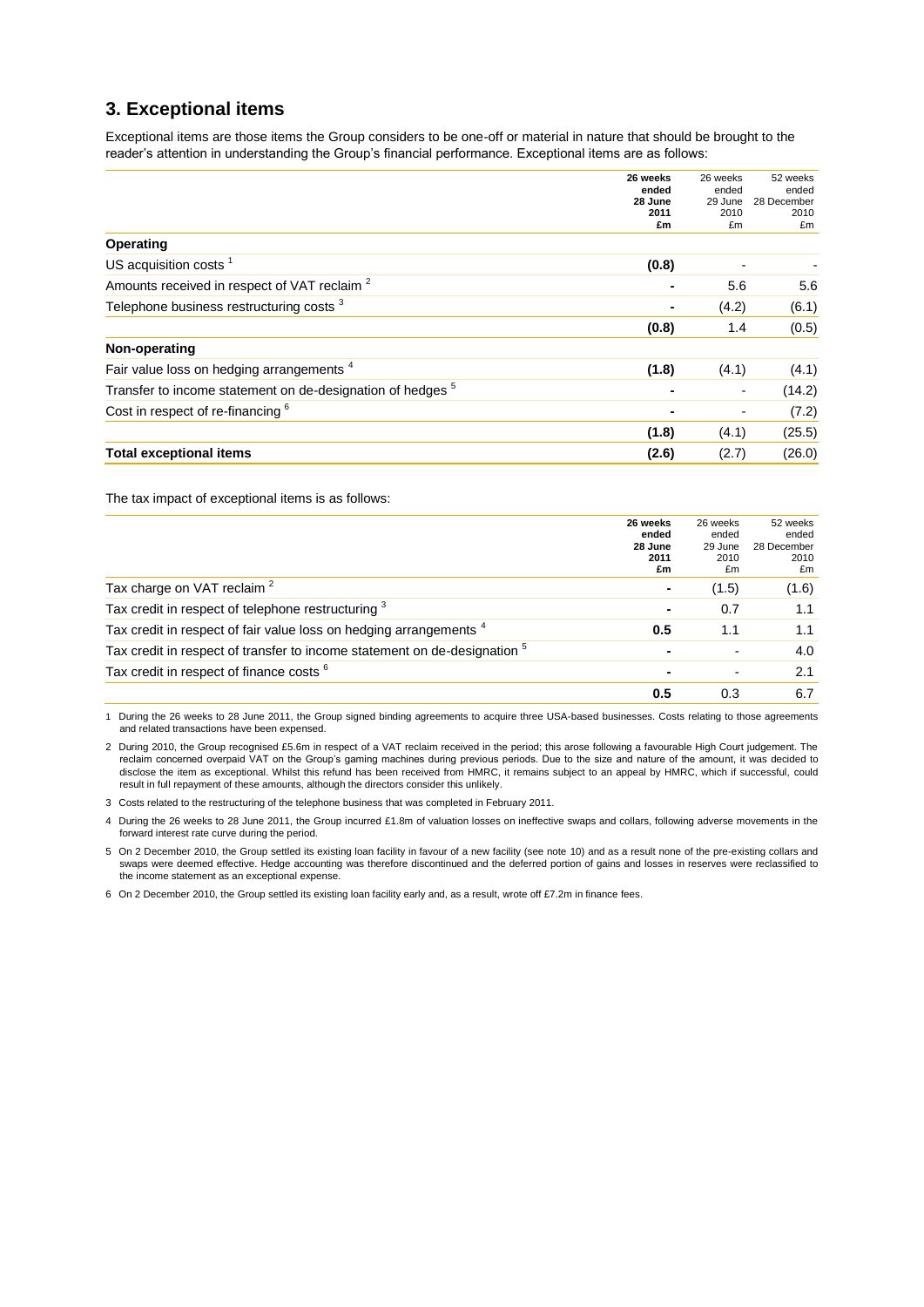## **3. Exceptional items**

Exceptional items are those items the Group considers to be one-off or material in nature that should be brought to the reader's attention in understanding the Group's financial performance. Exceptional items are as follows:

|                                                                       | 26 weeks<br>ended | 26 weeks<br>ended | 52 weeks<br>ended |
|-----------------------------------------------------------------------|-------------------|-------------------|-------------------|
|                                                                       | 28 June           | 29 June           | 28 December       |
|                                                                       | 2011              | 2010              | 2010              |
|                                                                       | £m                | £m                | £m                |
| Operating                                                             |                   |                   |                   |
| US acquisition costs $1$                                              | (0.8)             |                   |                   |
| Amounts received in respect of VAT reclaim <sup>2</sup>               |                   | 5.6               | 5.6               |
| Telephone business restructuring costs <sup>3</sup>                   |                   | (4.2)             | (6.1)             |
|                                                                       | (0.8)             | 1.4               | (0.5)             |
| Non-operating                                                         |                   |                   |                   |
| Fair value loss on hedging arrangements <sup>4</sup>                  | (1.8)             | (4.1)             | (4.1)             |
| Transfer to income statement on de-designation of hedges <sup>5</sup> |                   |                   | (14.2)            |
| Cost in respect of re-financing <sup>6</sup>                          |                   |                   | (7.2)             |
|                                                                       | (1.8)             | (4.1)             | (25.5)            |
| <b>Total exceptional items</b>                                        | (2.6)             | (2.7)             | (26.0)            |

The tax impact of exceptional items is as follows:

|                                                                                      | 26 weeks<br>ended<br>28 June<br>2011<br>£m | 26 weeks<br>ended<br>29 June<br>2010<br>£m | 52 weeks<br>ended<br>28 December<br>2010<br>£m |
|--------------------------------------------------------------------------------------|--------------------------------------------|--------------------------------------------|------------------------------------------------|
| Tax charge on VAT reclaim <sup>2</sup>                                               |                                            | (1.5)                                      | (1.6)                                          |
| Tax credit in respect of telephone restructuring 3                                   | ۰                                          | 0.7                                        | 1.1                                            |
| Tax credit in respect of fair value loss on hedging arrangements <sup>4</sup>        | 0.5                                        | 1.1                                        | 1.1                                            |
| Tax credit in respect of transfer to income statement on de-designation <sup>5</sup> |                                            | $\overline{\phantom{0}}$                   | 4.0                                            |
| Tax credit in respect of finance costs <sup>6</sup>                                  |                                            | ۰                                          | 2.1                                            |
|                                                                                      | 0.5                                        | 0.3                                        | 6.7                                            |

1 During the 26 weeks to 28 June 2011, the Group signed binding agreements to acquire three USA-based businesses. Costs relating to those agreements and related transactions have been expensed.

2 During 2010, the Group recognised £5.6m in respect of a VAT reclaim received in the period; this arose following a favourable High Court judgement. The reclaim concerned overpaid VAT on the Group's gaming machines during previous periods. Due to the size and nature of the amount, it was decided to disclose the item as exceptional. Whilst this refund has been received from HMRC, it remains subject to an appeal by HMRC, which if successful, could result in full repayment of these amounts, although the directors consider this unlikely.

3 Costs related to the restructuring of the telephone business that was completed in February 2011.

4 During the 26 weeks to 28 June 2011, the Group incurred £1.8m of valuation losses on ineffective swaps and collars, following adverse movements in the forward interest rate curve during the period.

5 On 2 December 2010, the Group settled its existing loan facility in favour of a new facility (see note 10) and as a result none of the pre-existing collars and<br>swaps were deemed effective. Hedge accounting was therefore the income statement as an exceptional expense.

6 On 2 December 2010, the Group settled its existing loan facility early and, as a result, wrote off £7.2m in finance fees.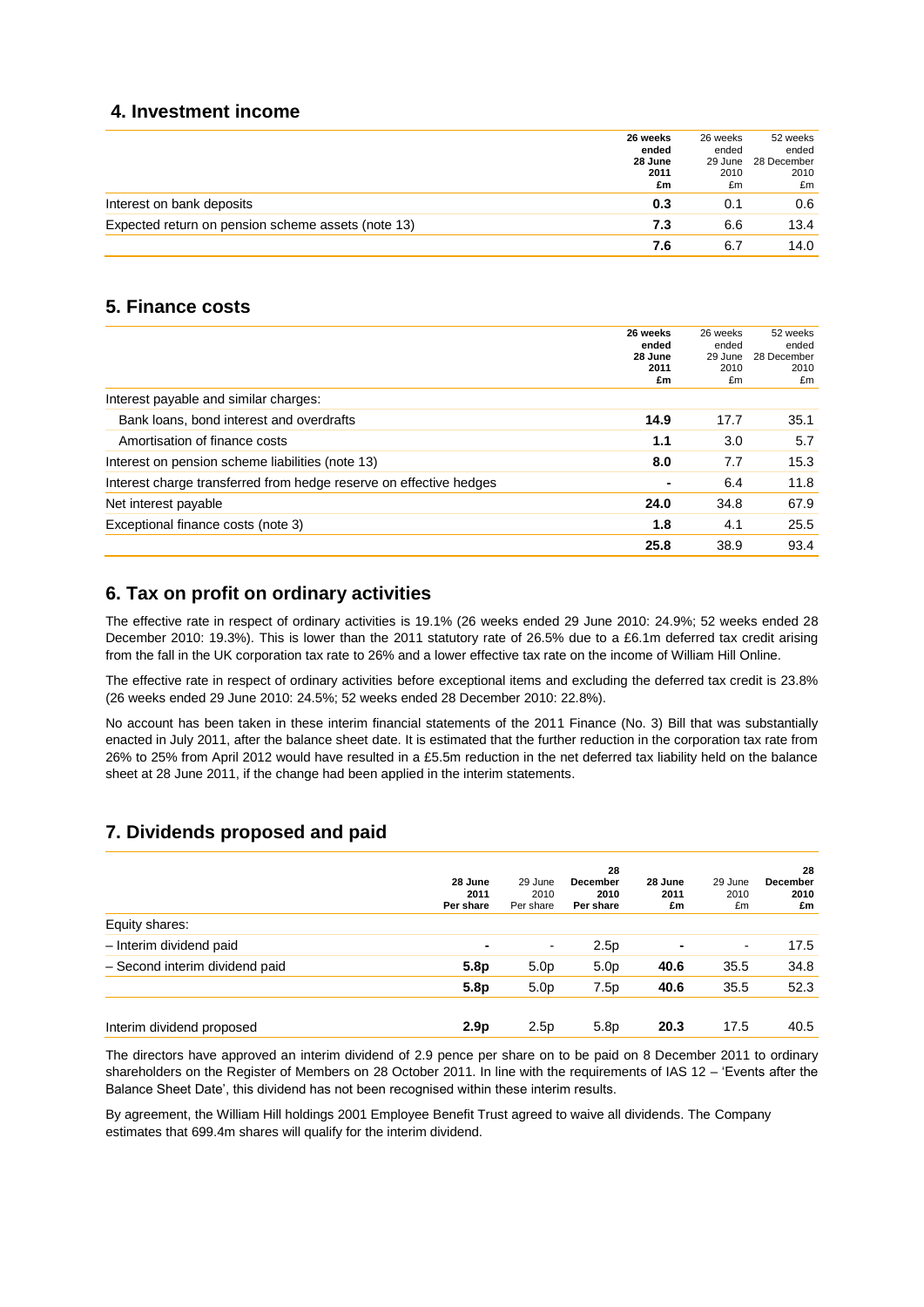### **4. Investment income**

|                                                    | 26 weeks<br>ended<br>28 June<br>2011<br>£m | 26 weeks<br>ended<br>29 June<br>2010<br>£m | 52 weeks<br>ended<br>28 December<br>2010<br>£m |
|----------------------------------------------------|--------------------------------------------|--------------------------------------------|------------------------------------------------|
| Interest on bank deposits                          | 0.3                                        | 0.1                                        | 0.6                                            |
| Expected return on pension scheme assets (note 13) | 7.3                                        | 6.6                                        | 13.4                                           |
|                                                    | 7.6                                        | 6.7                                        | 14.0                                           |

### **5. Finance costs**

|                                                                    | 26 weeks<br>ended | 26 weeks<br>ended | 52 weeks<br>ended |
|--------------------------------------------------------------------|-------------------|-------------------|-------------------|
|                                                                    | 28 June           | 29 June           | 28 December       |
|                                                                    | 2011              | 2010              | 2010              |
|                                                                    | £m                | £m                | £m                |
| Interest payable and similar charges:                              |                   |                   |                   |
| Bank loans, bond interest and overdrafts                           | 14.9              | 17.7              | 35.1              |
| Amortisation of finance costs                                      | 1.1               | 3.0               | 5.7               |
| Interest on pension scheme liabilities (note 13)                   | 8.0               | 7.7               | 15.3              |
| Interest charge transferred from hedge reserve on effective hedges |                   | 6.4               | 11.8              |
| Net interest payable                                               | 24.0              | 34.8              | 67.9              |
| Exceptional finance costs (note 3)                                 | 1.8               | 4.1               | 25.5              |
|                                                                    | 25.8              | 38.9              | 93.4              |

## **6. Tax on profit on ordinary activities**

The effective rate in respect of ordinary activities is 19.1% (26 weeks ended 29 June 2010: 24.9%; 52 weeks ended 28 December 2010: 19.3%). This is lower than the 2011 statutory rate of 26.5% due to a £6.1m deferred tax credit arising from the fall in the UK corporation tax rate to 26% and a lower effective tax rate on the income of William Hill Online.

The effective rate in respect of ordinary activities before exceptional items and excluding the deferred tax credit is 23.8% (26 weeks ended 29 June 2010: 24.5%; 52 weeks ended 28 December 2010: 22.8%).

No account has been taken in these interim financial statements of the 2011 Finance (No. 3) Bill that was substantially enacted in July 2011, after the balance sheet date. It is estimated that the further reduction in the corporation tax rate from 26% to 25% from April 2012 would have resulted in a £5.5m reduction in the net deferred tax liability held on the balance sheet at 28 June 2011, if the change had been applied in the interim statements.

## **7. Dividends proposed and paid**

|                                | 28 June<br>2011<br>Per share | 29 June<br>2010<br>Per share | 28<br>December<br>2010<br>Per share | 28 June<br>2011<br>£m | 29 June<br>2010<br>£m    | 28<br><b>December</b><br>2010<br>£m |
|--------------------------------|------------------------------|------------------------------|-------------------------------------|-----------------------|--------------------------|-------------------------------------|
| Equity shares:                 |                              |                              |                                     |                       |                          |                                     |
| - Interim dividend paid        |                              | $\blacksquare$               | 2.5 <sub>p</sub>                    |                       | $\overline{\phantom{a}}$ | 17.5                                |
| - Second interim dividend paid | 5.8 <sub>p</sub>             | 5.0 <sub>p</sub>             | 5.0 <sub>p</sub>                    | 40.6                  | 35.5                     | 34.8                                |
|                                | 5.8 <sub>p</sub>             | 5.0 <sub>p</sub>             | 7.5p                                | 40.6                  | 35.5                     | 52.3                                |
| Interim dividend proposed      | 2.9 <sub>p</sub>             | 2.5p                         | 5.8p                                | 20.3                  | 17.5                     | 40.5                                |

The directors have approved an interim dividend of 2.9 pence per share on to be paid on 8 December 2011 to ordinary shareholders on the Register of Members on 28 October 2011. In line with the requirements of IAS 12 – 'Events after the Balance Sheet Date', this dividend has not been recognised within these interim results.

By agreement, the William Hill holdings 2001 Employee Benefit Trust agreed to waive all dividends. The Company estimates that 699.4m shares will qualify for the interim dividend.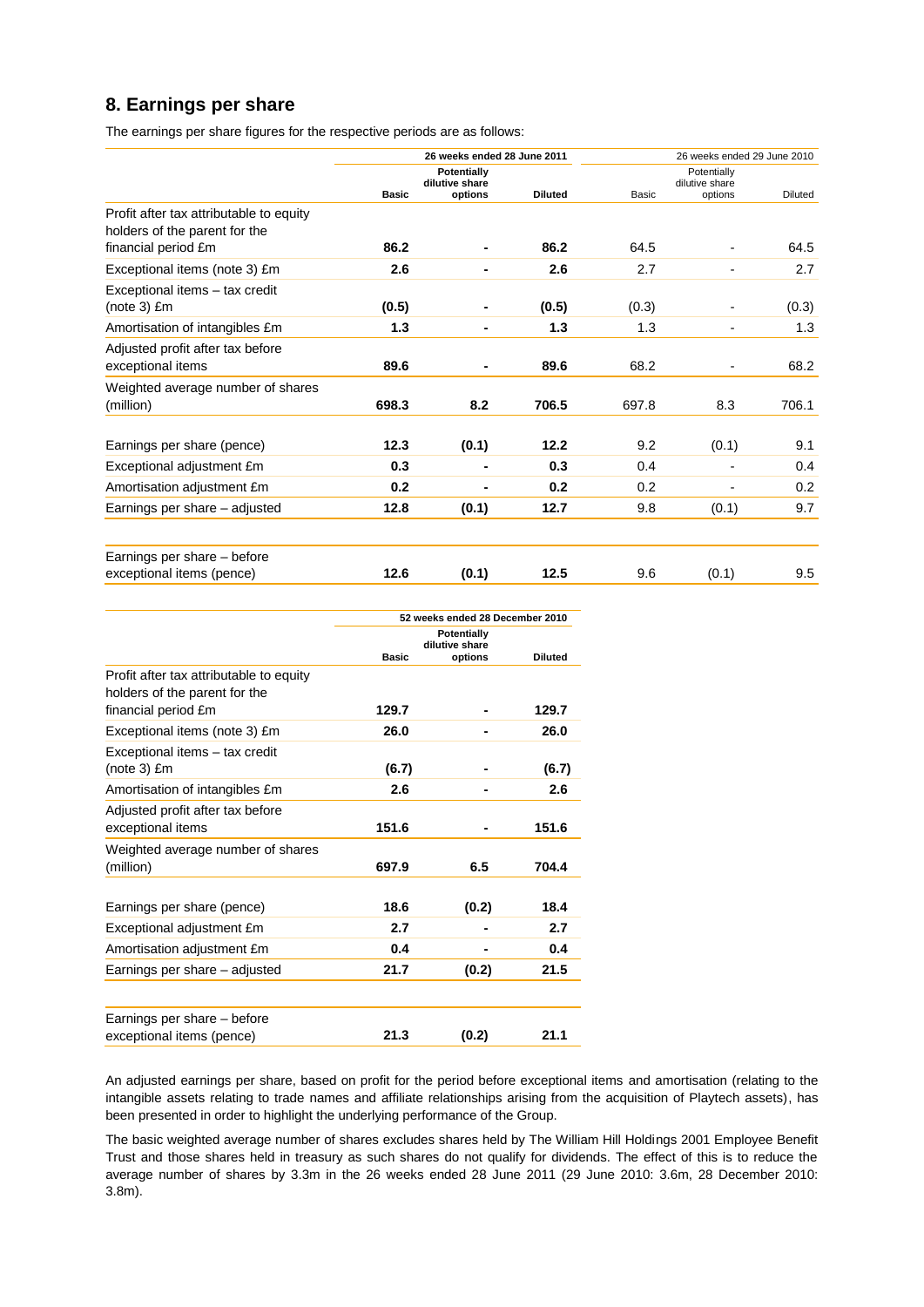## **8. Earnings per share**

The earnings per share figures for the respective periods are as follows:

|                                                                          |              | 26 weeks ended 28 June 2011                     |                |       | 26 weeks ended 29 June 2010              |                |  |
|--------------------------------------------------------------------------|--------------|-------------------------------------------------|----------------|-------|------------------------------------------|----------------|--|
|                                                                          | <b>Basic</b> | <b>Potentially</b><br>dilutive share<br>options | <b>Diluted</b> | Basic | Potentially<br>dilutive share<br>options | <b>Diluted</b> |  |
| Profit after tax attributable to equity<br>holders of the parent for the |              |                                                 |                |       |                                          |                |  |
| financial period £m                                                      | 86.2         |                                                 | 86.2           | 64.5  |                                          | 64.5           |  |
| Exceptional items (note 3) £m                                            | 2.6          |                                                 | 2.6            | 2.7   |                                          | 2.7            |  |
| Exceptional items - tax credit<br>$(note 3)$ $Em$                        | (0.5)        |                                                 | (0.5)          | (0.3) |                                          | (0.3)          |  |
| Amortisation of intangibles £m                                           | 1.3          |                                                 | 1.3            | 1.3   |                                          | 1.3            |  |
| Adjusted profit after tax before<br>exceptional items                    | 89.6         |                                                 | 89.6           | 68.2  |                                          | 68.2           |  |
| Weighted average number of shares<br>(million)                           | 698.3        | 8.2                                             | 706.5          | 697.8 | 8.3                                      | 706.1          |  |
| Earnings per share (pence)                                               | 12.3         | (0.1)                                           | 12.2           | 9.2   | (0.1)                                    | 9.1            |  |
| Exceptional adjustment £m                                                | 0.3          |                                                 | 0.3            | 0.4   |                                          | 0.4            |  |
| Amortisation adjustment £m                                               | 0.2          |                                                 | 0.2            | 0.2   |                                          | 0.2            |  |
| Earnings per share - adjusted                                            | 12.8         | (0.1)                                           | 12.7           | 9.8   | (0.1)                                    | 9.7            |  |

Earnings per share – before exceptional items (pence) **12.6 (0.1) 12.5** 9.6 (0.1) 9.5

|                                                                          |              | 52 weeks ended 28 December 2010 |                |
|--------------------------------------------------------------------------|--------------|---------------------------------|----------------|
|                                                                          |              | Potentially                     |                |
|                                                                          | <b>Basic</b> | dilutive share<br>options       | <b>Diluted</b> |
| Profit after tax attributable to equity<br>holders of the parent for the |              |                                 |                |
| financial period £m                                                      | 129.7        |                                 | 129.7          |
| Exceptional items (note 3) £m                                            | 26.0         |                                 | 26.0           |
| Exceptional items - tax credit<br>$(note 3)$ £m                          | (6.7)        |                                 | (6.7)          |
| Amortisation of intangibles £m                                           | 2.6          |                                 | 2.6            |
| Adjusted profit after tax before<br>exceptional items                    | 151.6        |                                 | 151.6          |
| Weighted average number of shares<br>(million)                           | 697.9        | 6.5                             | 704.4          |
| Earnings per share (pence)                                               | 18.6         | (0.2)                           | 18.4           |
| Exceptional adjustment £m                                                | 2.7          |                                 | 2.7            |
| Amortisation adjustment £m                                               | 0.4          |                                 | 0.4            |
| Earnings per share – adjusted                                            | 21.7         | (0.2)                           | 21.5           |
| Earnings per share – before                                              |              |                                 |                |
| exceptional items (pence)                                                | 21.3         | (0.2)                           | 21.1           |

An adjusted earnings per share, based on profit for the period before exceptional items and amortisation (relating to the intangible assets relating to trade names and affiliate relationships arising from the acquisition of Playtech assets), has been presented in order to highlight the underlying performance of the Group.

The basic weighted average number of shares excludes shares held by The William Hill Holdings 2001 Employee Benefit Trust and those shares held in treasury as such shares do not qualify for dividends. The effect of this is to reduce the average number of shares by 3.3m in the 26 weeks ended 28 June 2011 (29 June 2010: 3.6m, 28 December 2010: 3.8m).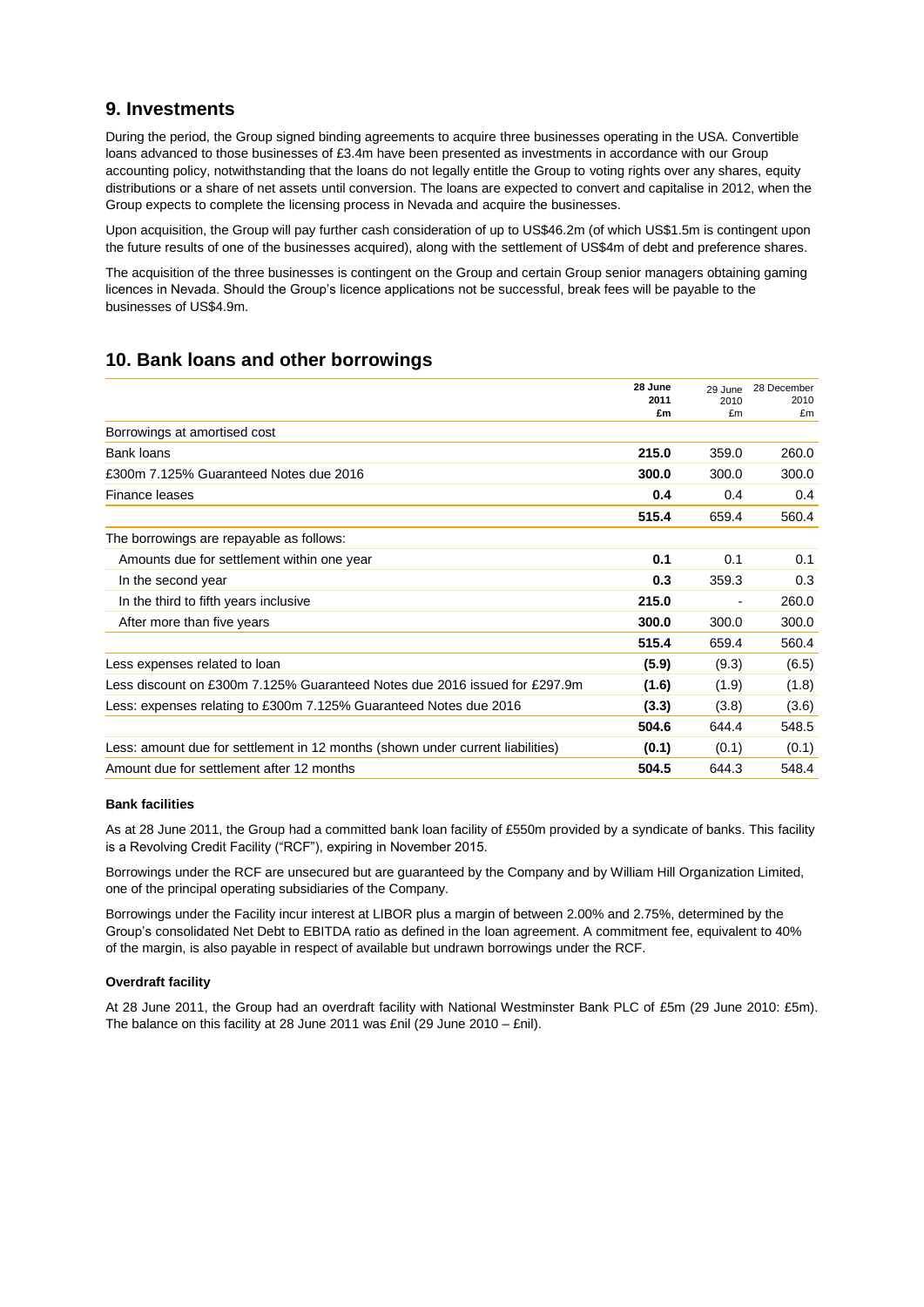### **9. Investments**

During the period, the Group signed binding agreements to acquire three businesses operating in the USA. Convertible loans advanced to those businesses of £3.4m have been presented as investments in accordance with our Group accounting policy, notwithstanding that the loans do not legally entitle the Group to voting rights over any shares, equity distributions or a share of net assets until conversion. The loans are expected to convert and capitalise in 2012, when the Group expects to complete the licensing process in Nevada and acquire the businesses.

Upon acquisition, the Group will pay further cash consideration of up to US\$46.2m (of which US\$1.5m is contingent upon the future results of one of the businesses acquired), along with the settlement of US\$4m of debt and preference shares.

The acquisition of the three businesses is contingent on the Group and certain Group senior managers obtaining gaming licences in Nevada. Should the Group's licence applications not be successful, break fees will be payable to the businesses of US\$4.9m.

## **10. Bank loans and other borrowings**

|                                                                                | 28 June<br>2011<br>£m | 29 June<br>2010<br>£m | 28 December<br>2010<br>£m |
|--------------------------------------------------------------------------------|-----------------------|-----------------------|---------------------------|
| Borrowings at amortised cost                                                   |                       |                       |                           |
| Bank loans                                                                     | 215.0                 | 359.0                 | 260.0                     |
| £300m 7.125% Guaranteed Notes due 2016                                         | 300.0                 | 300.0                 | 300.0                     |
| Finance leases                                                                 | 0.4                   | 0.4                   | 0.4                       |
|                                                                                | 515.4                 | 659.4                 | 560.4                     |
| The borrowings are repayable as follows:                                       |                       |                       |                           |
| Amounts due for settlement within one year                                     | 0.1                   | 0.1                   | 0.1                       |
| In the second year                                                             | 0.3                   | 359.3                 | 0.3                       |
| In the third to fifth years inclusive                                          | 215.0                 | -                     | 260.0                     |
| After more than five years                                                     | 300.0                 | 300.0                 | 300.0                     |
|                                                                                | 515.4                 | 659.4                 | 560.4                     |
| Less expenses related to loan                                                  | (5.9)                 | (9.3)                 | (6.5)                     |
| Less discount on £300m 7.125% Guaranteed Notes due 2016 issued for £297.9m     | (1.6)                 | (1.9)                 | (1.8)                     |
| Less: expenses relating to £300m 7.125% Guaranteed Notes due 2016              | (3.3)                 | (3.8)                 | (3.6)                     |
|                                                                                | 504.6                 | 644.4                 | 548.5                     |
| Less: amount due for settlement in 12 months (shown under current liabilities) | (0.1)                 | (0.1)                 | (0.1)                     |
| Amount due for settlement after 12 months                                      | 504.5                 | 644.3                 | 548.4                     |

#### **Bank facilities**

As at 28 June 2011, the Group had a committed bank loan facility of £550m provided by a syndicate of banks. This facility is a Revolving Credit Facility ("RCF"), expiring in November 2015.

Borrowings under the RCF are unsecured but are guaranteed by the Company and by William Hill Organization Limited, one of the principal operating subsidiaries of the Company.

Borrowings under the Facility incur interest at LIBOR plus a margin of between 2.00% and 2.75%, determined by the Group's consolidated Net Debt to EBITDA ratio as defined in the loan agreement. A commitment fee, equivalent to 40% of the margin, is also payable in respect of available but undrawn borrowings under the RCF.

#### **Overdraft facility**

At 28 June 2011, the Group had an overdraft facility with National Westminster Bank PLC of £5m (29 June 2010: £5m). The balance on this facility at 28 June 2011 was £nil (29 June 2010 – £nil).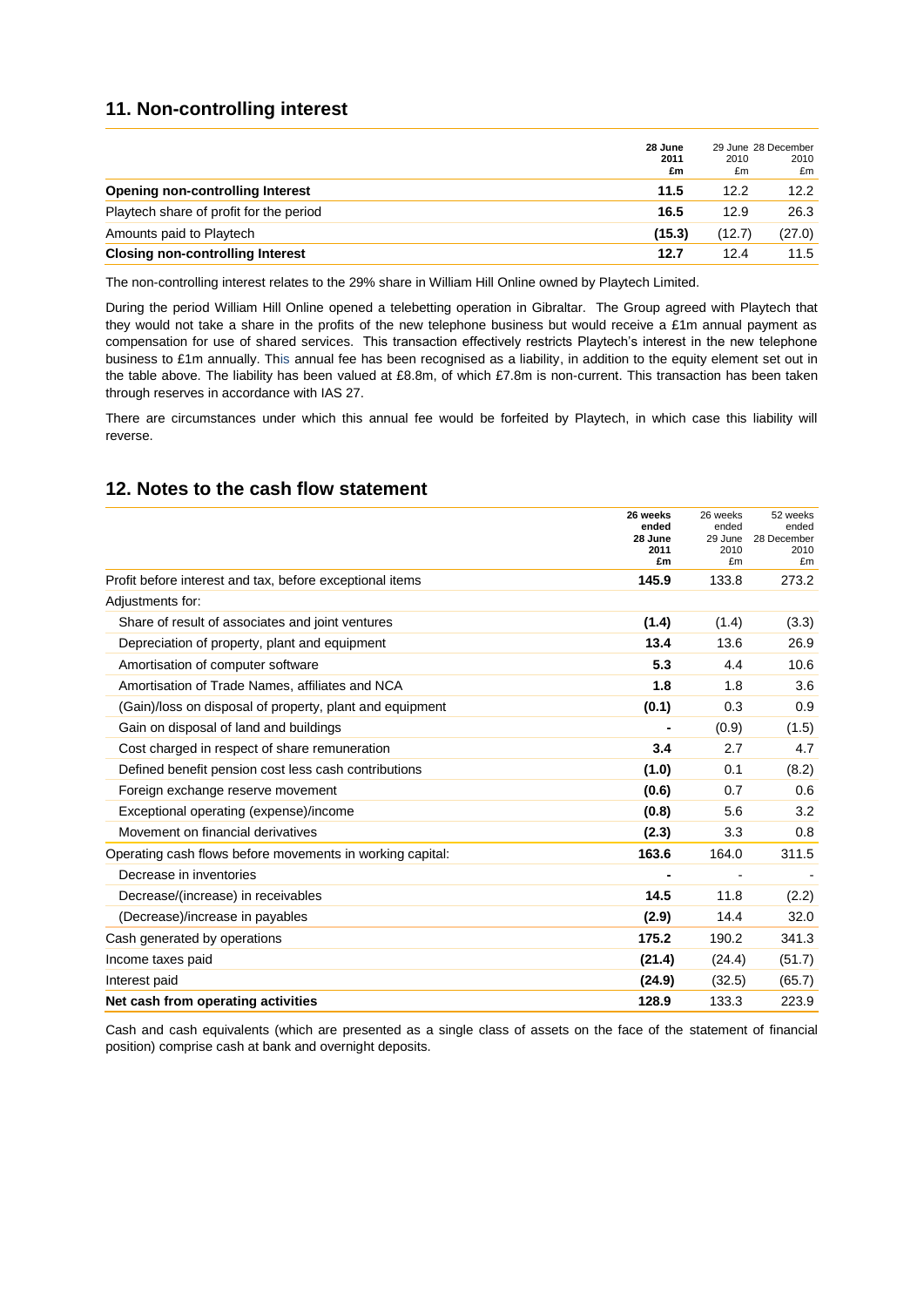### **11. Non-controlling interest**

|                                         | 28 June<br>2011 | 2010   | 29 June 28 December<br>2010 |
|-----------------------------------------|-----------------|--------|-----------------------------|
|                                         | £m              | £m     | £m                          |
| Opening non-controlling Interest        | 11.5            | 12.2   | 12.2                        |
| Playtech share of profit for the period | 16.5            | 12.9   | 26.3                        |
| Amounts paid to Playtech                | (15.3)          | (12.7) | (27.0)                      |
| <b>Closing non-controlling Interest</b> | 12.7            | 12.4   | 11.5                        |

The non-controlling interest relates to the 29% share in William Hill Online owned by Playtech Limited.

During the period William Hill Online opened a telebetting operation in Gibraltar. The Group agreed with Playtech that they would not take a share in the profits of the new telephone business but would receive a £1m annual payment as compensation for use of shared services. This transaction effectively restricts Playtech's interest in the new telephone business to £1m annually. This annual fee has been recognised as a liability, in addition to the equity element set out in the table above. The liability has been valued at £8.8m, of which £7.8m is non-current. This transaction has been taken through reserves in accordance with IAS 27.

There are circumstances under which this annual fee would be forfeited by Playtech, in which case this liability will reverse.

### **12. Notes to the cash flow statement**

|                                                           | 26 weeks<br>ended<br>28 June<br>2011<br>£m | 26 weeks<br>ended<br>29 June<br>2010<br>£m | 52 weeks<br>ended<br>28 December<br>2010<br>£m |
|-----------------------------------------------------------|--------------------------------------------|--------------------------------------------|------------------------------------------------|
| Profit before interest and tax, before exceptional items  | 145.9                                      | 133.8                                      | 273.2                                          |
| Adjustments for:                                          |                                            |                                            |                                                |
| Share of result of associates and joint ventures          | (1.4)                                      | (1.4)                                      | (3.3)                                          |
| Depreciation of property, plant and equipment             | 13.4                                       | 13.6                                       | 26.9                                           |
| Amortisation of computer software                         | 5.3                                        | 4.4                                        | 10.6                                           |
| Amortisation of Trade Names, affiliates and NCA           | 1.8                                        | 1.8                                        | 3.6                                            |
| (Gain)/loss on disposal of property, plant and equipment  | (0.1)                                      | 0.3                                        | 0.9                                            |
| Gain on disposal of land and buildings                    |                                            | (0.9)                                      | (1.5)                                          |
| Cost charged in respect of share remuneration             | 3.4                                        | 2.7                                        | 4.7                                            |
| Defined benefit pension cost less cash contributions      | (1.0)                                      | 0.1                                        | (8.2)                                          |
| Foreign exchange reserve movement                         | (0.6)                                      | 0.7                                        | 0.6                                            |
| Exceptional operating (expense)/income                    | (0.8)                                      | 5.6                                        | 3.2                                            |
| Movement on financial derivatives                         | (2.3)                                      | 3.3                                        | 0.8                                            |
| Operating cash flows before movements in working capital: | 163.6                                      | 164.0                                      | 311.5                                          |
| Decrease in inventories                                   |                                            |                                            |                                                |
| Decrease/(increase) in receivables                        | 14.5                                       | 11.8                                       | (2.2)                                          |
| (Decrease)/increase in payables                           | (2.9)                                      | 14.4                                       | 32.0                                           |
| Cash generated by operations                              | 175.2                                      | 190.2                                      | 341.3                                          |
| Income taxes paid                                         | (21.4)                                     | (24.4)                                     | (51.7)                                         |
| Interest paid                                             | (24.9)                                     | (32.5)                                     | (65.7)                                         |
| Net cash from operating activities                        | 128.9                                      | 133.3                                      | 223.9                                          |

Cash and cash equivalents (which are presented as a single class of assets on the face of the statement of financial position) comprise cash at bank and overnight deposits.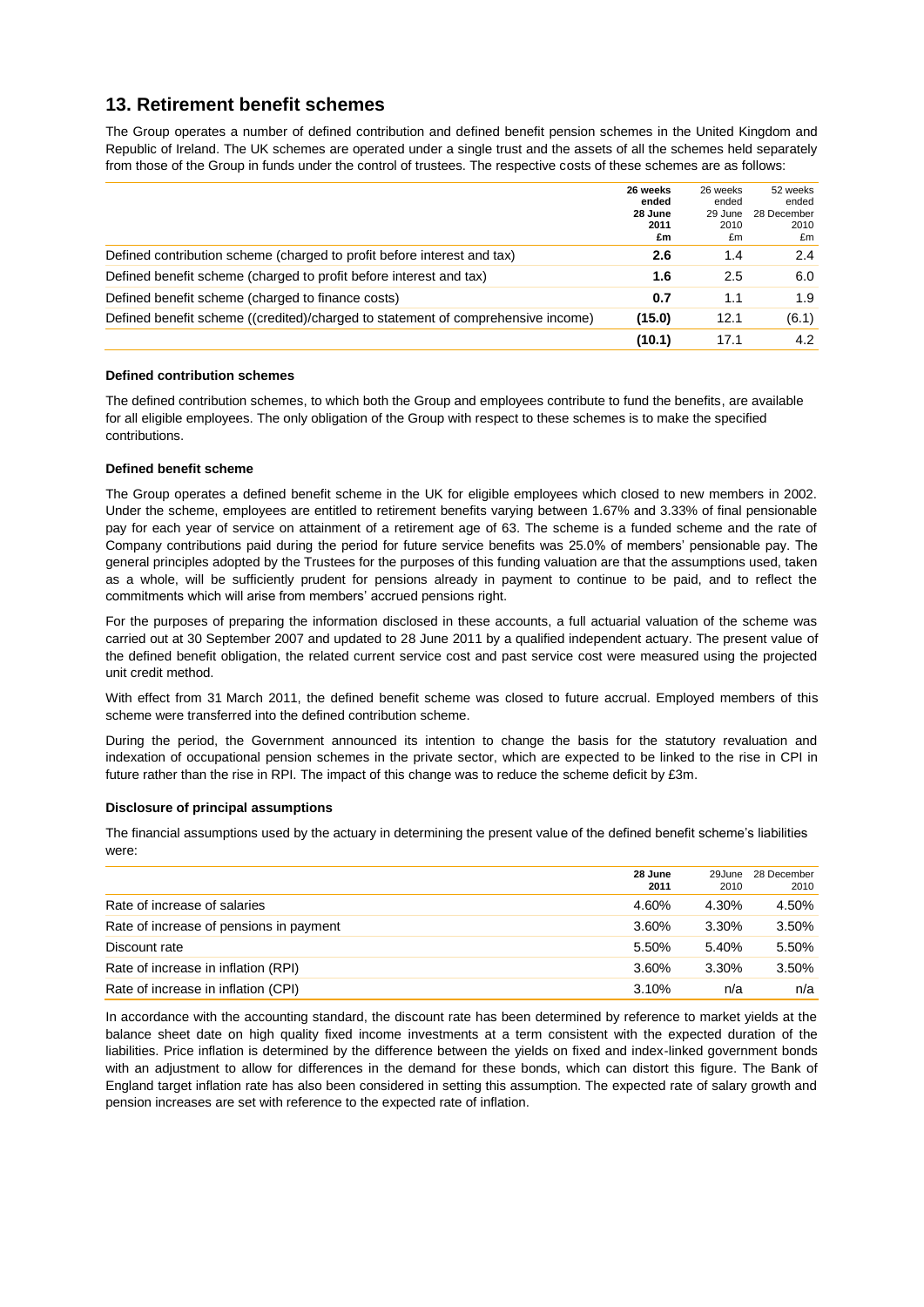## **13. Retirement benefit schemes**

The Group operates a number of defined contribution and defined benefit pension schemes in the United Kingdom and Republic of Ireland. The UK schemes are operated under a single trust and the assets of all the schemes held separately from those of the Group in funds under the control of trustees. The respective costs of these schemes are as follows:

|                                                                                  | 26 weeks<br>ended<br>28 June<br>2011<br>£m | 26 weeks<br>ended<br>29 June<br>2010<br>£m | 52 weeks<br>ended<br>28 December<br>2010<br>£m |
|----------------------------------------------------------------------------------|--------------------------------------------|--------------------------------------------|------------------------------------------------|
| Defined contribution scheme (charged to profit before interest and tax)          | 2.6                                        | 1.4                                        | 2.4                                            |
| Defined benefit scheme (charged to profit before interest and tax)               | 1.6                                        | 2.5                                        | 6.0                                            |
| Defined benefit scheme (charged to finance costs)                                | 0.7                                        | 1.1                                        | 1.9                                            |
| Defined benefit scheme ((credited)/charged to statement of comprehensive income) | (15.0)                                     | 12.1                                       | (6.1)                                          |
|                                                                                  | (10.1)                                     | 17.1                                       | 4.2                                            |

#### **Defined contribution schemes**

The defined contribution schemes, to which both the Group and employees contribute to fund the benefits, are available for all eligible employees. The only obligation of the Group with respect to these schemes is to make the specified contributions.

#### **Defined benefit scheme**

The Group operates a defined benefit scheme in the UK for eligible employees which closed to new members in 2002. Under the scheme, employees are entitled to retirement benefits varying between 1.67% and 3.33% of final pensionable pay for each year of service on attainment of a retirement age of 63. The scheme is a funded scheme and the rate of Company contributions paid during the period for future service benefits was 25.0% of members' pensionable pay. The general principles adopted by the Trustees for the purposes of this funding valuation are that the assumptions used, taken as a whole, will be sufficiently prudent for pensions already in payment to continue to be paid, and to reflect the commitments which will arise from members' accrued pensions right.

For the purposes of preparing the information disclosed in these accounts, a full actuarial valuation of the scheme was carried out at 30 September 2007 and updated to 28 June 2011 by a qualified independent actuary. The present value of the defined benefit obligation, the related current service cost and past service cost were measured using the projected unit credit method.

With effect from 31 March 2011, the defined benefit scheme was closed to future accrual. Employed members of this scheme were transferred into the defined contribution scheme.

During the period, the Government announced its intention to change the basis for the statutory revaluation and indexation of occupational pension schemes in the private sector, which are expected to be linked to the rise in CPI in future rather than the rise in RPI. The impact of this change was to reduce the scheme deficit by £3m.

#### **Disclosure of principal assumptions**

The financial assumptions used by the actuary in determining the present value of the defined benefit scheme's liabilities were:

|                                         | 28 June<br>2011 | 29June<br>2010 | 28 December<br>2010 |
|-----------------------------------------|-----------------|----------------|---------------------|
| Rate of increase of salaries            | 4.60%           | 4.30%          | 4.50%               |
| Rate of increase of pensions in payment | 3.60%           | 3.30%          | 3.50%               |
| Discount rate                           | 5.50%           | 5.40%          | 5.50%               |
| Rate of increase in inflation (RPI)     | 3.60%           | 3.30%          | 3.50%               |
| Rate of increase in inflation (CPI)     | 3.10%           | n/a            | n/a                 |

In accordance with the accounting standard, the discount rate has been determined by reference to market yields at the balance sheet date on high quality fixed income investments at a term consistent with the expected duration of the liabilities. Price inflation is determined by the difference between the yields on fixed and index-linked government bonds with an adjustment to allow for differences in the demand for these bonds, which can distort this figure. The Bank of England target inflation rate has also been considered in setting this assumption. The expected rate of salary growth and pension increases are set with reference to the expected rate of inflation.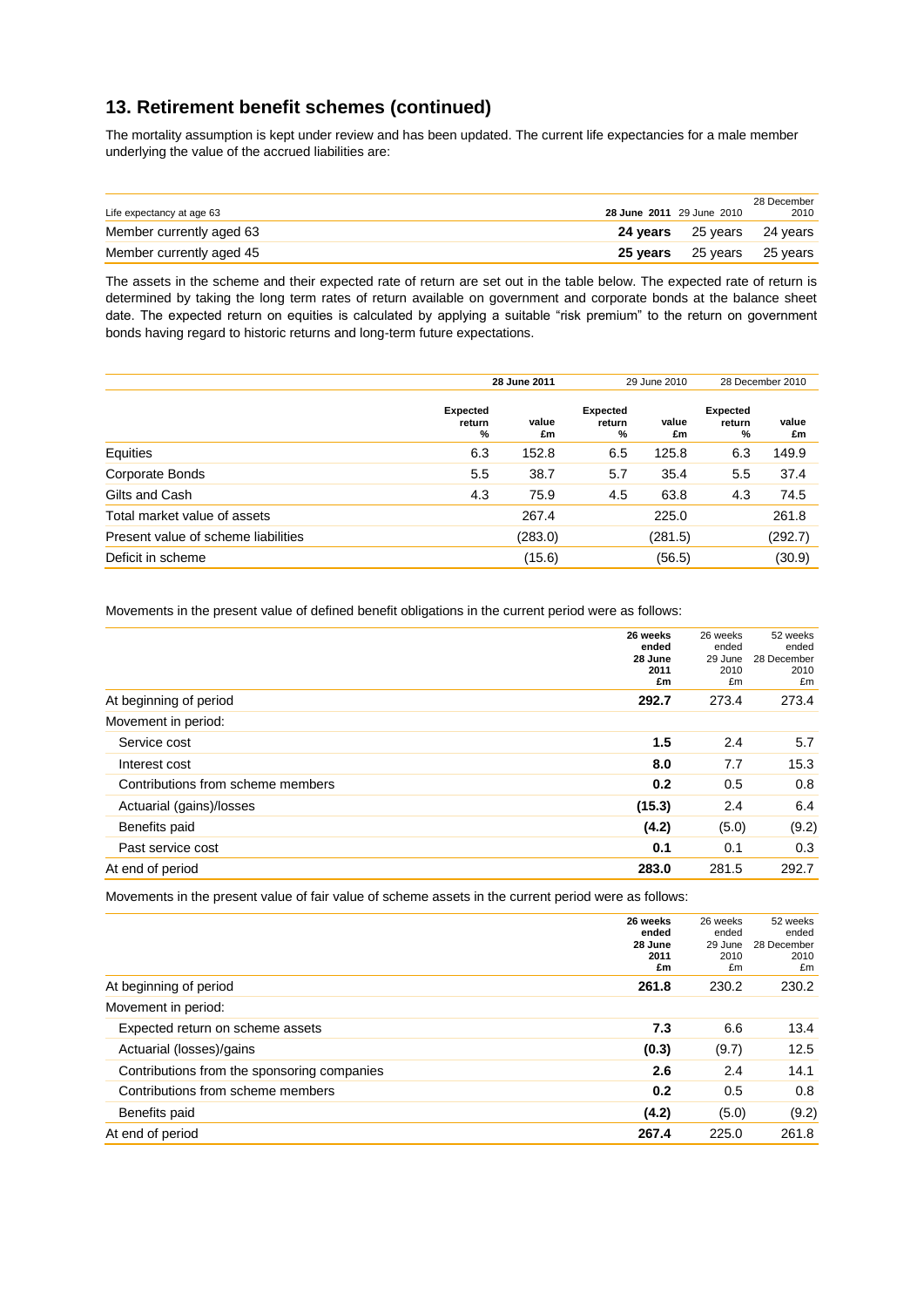# **13. Retirement benefit schemes (continued)**

The mortality assumption is kept under review and has been updated. The current life expectancies for a male member underlying the value of the accrued liabilities are:

|                           |                            | 28 December |
|---------------------------|----------------------------|-------------|
| Life expectancy at age 63 | 28 June 2011 29 June 2010  | 2010        |
| Member currently aged 63  | 24 years 25 years 24 years |             |
| Member currently aged 45  | 25 years 25 years 25 years |             |

The assets in the scheme and their expected rate of return are set out in the table below. The expected rate of return is determined by taking the long term rates of return available on government and corporate bonds at the balance sheet date. The expected return on equities is calculated by applying a suitable "risk premium" to the return on government bonds having regard to historic returns and long-term future expectations.

|                                     |                                            | 28 June 2011 | 29 June 2010                      |             |                                | 28 December 2010 |
|-------------------------------------|--------------------------------------------|--------------|-----------------------------------|-------------|--------------------------------|------------------|
|                                     | <b>Expected</b><br>return<br>$\frac{9}{6}$ | value<br>£m  | <b>Expected</b><br>return<br>$\%$ | value<br>£m | <b>Expected</b><br>return<br>% | value<br>£m      |
| Equities                            | 6.3                                        | 152.8        | 6.5                               | 125.8       | 6.3                            | 149.9            |
| Corporate Bonds                     | 5.5                                        | 38.7         | 5.7                               | 35.4        | 5.5                            | 37.4             |
| Gilts and Cash                      | 4.3                                        | 75.9         | 4.5                               | 63.8        | 4.3                            | 74.5             |
| Total market value of assets        |                                            | 267.4        |                                   | 225.0       |                                | 261.8            |
| Present value of scheme liabilities |                                            | (283.0)      |                                   | (281.5)     |                                | (292.7)          |
| Deficit in scheme                   |                                            | (15.6)       |                                   | (56.5)      |                                | (30.9)           |

Movements in the present value of defined benefit obligations in the current period were as follows:

|                                   | 26 weeks<br>ended<br>28 June<br>2011 | 26 weeks<br>ended<br>29 June<br>2010 | 52 weeks<br>ended<br>28 December<br>2010 |
|-----------------------------------|--------------------------------------|--------------------------------------|------------------------------------------|
| At beginning of period            | £m<br>292.7                          | £m<br>273.4                          | £m<br>273.4                              |
| Movement in period:               |                                      |                                      |                                          |
| Service cost                      | 1.5                                  | 2.4                                  | 5.7                                      |
| Interest cost                     | 8.0                                  | 7.7                                  | 15.3                                     |
| Contributions from scheme members | 0.2                                  | 0.5                                  | 0.8                                      |
| Actuarial (gains)/losses          | (15.3)                               | 2.4                                  | 6.4                                      |
| Benefits paid                     | (4.2)                                | (5.0)                                | (9.2)                                    |
| Past service cost                 | 0.1                                  | 0.1                                  | 0.3                                      |
| At end of period                  | 283.0                                | 281.5                                | 292.7                                    |
|                                   |                                      |                                      |                                          |

Movements in the present value of fair value of scheme assets in the current period were as follows:

|                                             | 26 weeks<br>ended<br>28 June<br>2011<br>£m | 26 weeks<br>ended<br>29 June<br>2010<br>£m | 52 weeks<br>ended<br>28 December<br>2010<br>£m |
|---------------------------------------------|--------------------------------------------|--------------------------------------------|------------------------------------------------|
| At beginning of period                      | 261.8                                      | 230.2                                      | 230.2                                          |
| Movement in period:                         |                                            |                                            |                                                |
| Expected return on scheme assets            | 7.3                                        | 6.6                                        | 13.4                                           |
| Actuarial (losses)/gains                    | (0.3)                                      | (9.7)                                      | 12.5                                           |
| Contributions from the sponsoring companies | 2.6                                        | 2.4                                        | 14.1                                           |
| Contributions from scheme members           | 0.2                                        | 0.5                                        | 0.8                                            |
| Benefits paid                               | (4.2)                                      | (5.0)                                      | (9.2)                                          |
| At end of period                            | 267.4                                      | 225.0                                      | 261.8                                          |
|                                             |                                            |                                            |                                                |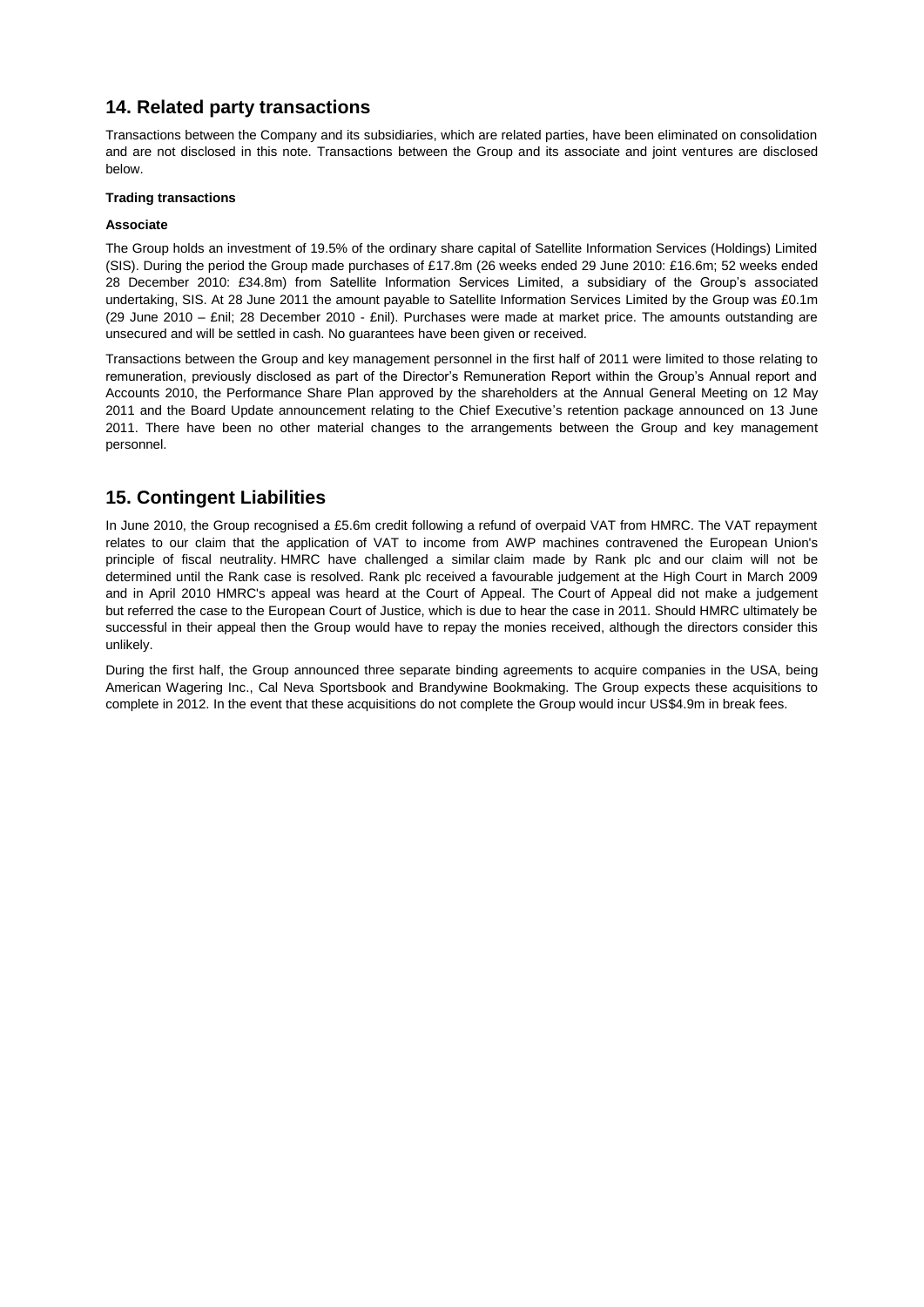## **14. Related party transactions**

Transactions between the Company and its subsidiaries, which are related parties, have been eliminated on consolidation and are not disclosed in this note. Transactions between the Group and its associate and joint ventures are disclosed below.

### **Trading transactions**

### **Associate**

The Group holds an investment of 19.5% of the ordinary share capital of Satellite Information Services (Holdings) Limited (SIS). During the period the Group made purchases of £17.8m (26 weeks ended 29 June 2010: £16.6m; 52 weeks ended 28 December 2010: £34.8m) from Satellite Information Services Limited, a subsidiary of the Group's associated undertaking, SIS. At 28 June 2011 the amount payable to Satellite Information Services Limited by the Group was £0.1m (29 June 2010 – £nil; 28 December 2010 - £nil). Purchases were made at market price. The amounts outstanding are unsecured and will be settled in cash. No guarantees have been given or received.

Transactions between the Group and key management personnel in the first half of 2011 were limited to those relating to remuneration, previously disclosed as part of the Director's Remuneration Report within the Group's Annual report and Accounts 2010, the Performance Share Plan approved by the shareholders at the Annual General Meeting on 12 May 2011 and the Board Update announcement relating to the Chief Executive's retention package announced on 13 June 2011. There have been no other material changes to the arrangements between the Group and key management personnel.

## **15. Contingent Liabilities**

In June 2010, the Group recognised a £5.6m credit following a refund of overpaid VAT from HMRC. The VAT repayment relates to our claim that the application of VAT to income from AWP machines contravened the European Union's principle of fiscal neutrality. HMRC have challenged a similar claim made by Rank plc and our claim will not be determined until the Rank case is resolved. Rank plc received a favourable judgement at the High Court in March 2009 and in April 2010 HMRC's appeal was heard at the Court of Appeal. The Court of Appeal did not make a judgement but referred the case to the European Court of Justice, which is due to hear the case in 2011. Should HMRC ultimately be successful in their appeal then the Group would have to repay the monies received, although the directors consider this unlikely.

During the first half, the Group announced three separate binding agreements to acquire companies in the USA, being American Wagering Inc., Cal Neva Sportsbook and Brandywine Bookmaking. The Group expects these acquisitions to complete in 2012. In the event that these acquisitions do not complete the Group would incur US\$4.9m in break fees.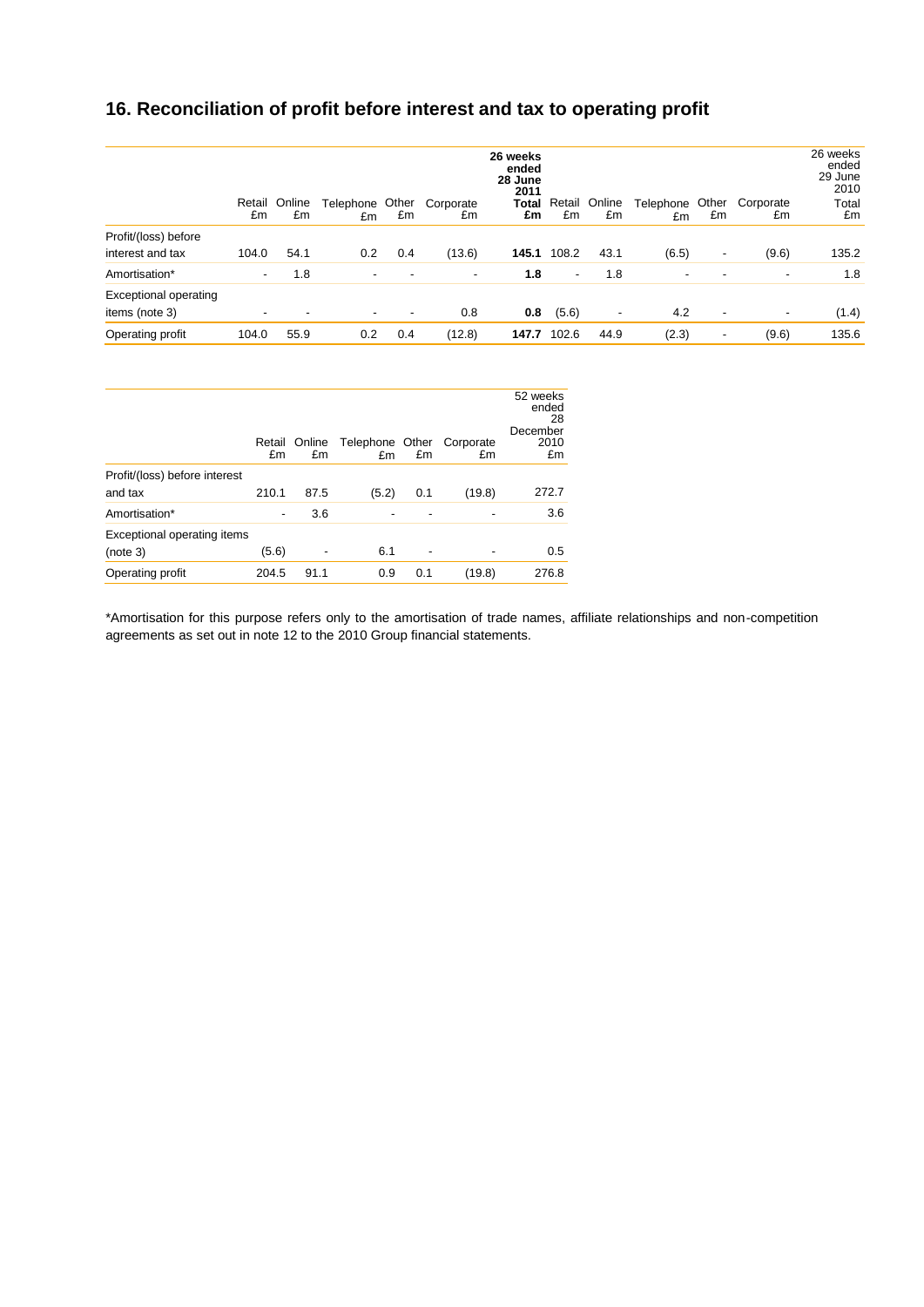# **16. Reconciliation of profit before interest and tax to operating profit**

|                              |              |              |                          |                          |                          | 26 weeks<br>ended<br>28 June<br>2011 |              |              |                          |                          |                          | 26 weeks<br>ended<br>29 June<br>2010 |
|------------------------------|--------------|--------------|--------------------------|--------------------------|--------------------------|--------------------------------------|--------------|--------------|--------------------------|--------------------------|--------------------------|--------------------------------------|
|                              | Retail<br>£m | Online<br>£m | Telephone<br>£m          | Other<br>£m              | Corporate<br>£m          | Total<br>£m                          | Retail<br>£m | Online<br>£m | Telephone<br>£m          | Other<br>£m              | Corporate<br>£m          | Total<br>£m                          |
| Profit/(loss) before         |              |              |                          |                          |                          |                                      |              |              |                          |                          |                          |                                      |
| interest and tax             | 104.0        | 54.1         | 0.2                      | 0.4                      | (13.6)                   | 145.1                                | 108.2        | 43.1         | (6.5)                    | ٠                        | (9.6)                    | 135.2                                |
| Amortisation*                |              | 1.8          | $\overline{\phantom{a}}$ |                          | $\overline{\phantom{a}}$ | 1.8                                  | ۰            | 1.8          | $\overline{\phantom{a}}$ |                          | $\overline{\phantom{a}}$ | 1.8                                  |
| <b>Exceptional operating</b> |              |              |                          |                          |                          |                                      |              |              |                          |                          |                          |                                      |
| items (note 3)               | -            |              | $\overline{\phantom{a}}$ | $\overline{\phantom{a}}$ | 0.8                      | 0.8                                  | (5.6)        | ۰            | 4.2                      | $\overline{\phantom{a}}$ | ٠                        | (1.4)                                |
| Operating profit             | 104.0        | 55.9         | 0.2                      | 0.4                      | (12.8)                   | 147.7                                | 102.6        | 44.9         | (2.3)                    | ٠                        | (9.6)                    | 135.6                                |
|                              |              |              |                          |                          |                          |                                      |              |              |                          |                          |                          |                                      |

|                               | £m    | Retail Online<br>£m | Telephone Other<br>£m | £m  | Corporate<br>£m | 52 weeks<br>ended<br>28<br>December<br>2010<br>£m |
|-------------------------------|-------|---------------------|-----------------------|-----|-----------------|---------------------------------------------------|
| Profit/(loss) before interest |       |                     |                       |     |                 |                                                   |
| and tax                       | 210.1 | 87.5                | (5.2)                 | 0.1 | (19.8)          | 272.7                                             |
| Amortisation*                 | ٠     | 3.6                 | ٠                     |     |                 | 3.6                                               |
| Exceptional operating items   |       |                     |                       |     |                 |                                                   |
| (note 3)                      | (5.6) | ٠                   | 6.1                   | -   |                 | 0.5                                               |
| Operating profit              | 204.5 | 91.1                | 0.9                   | 0.1 | (19.8)          | 276.8                                             |

\*Amortisation for this purpose refers only to the amortisation of trade names, affiliate relationships and non-competition agreements as set out in note 12 to the 2010 Group financial statements.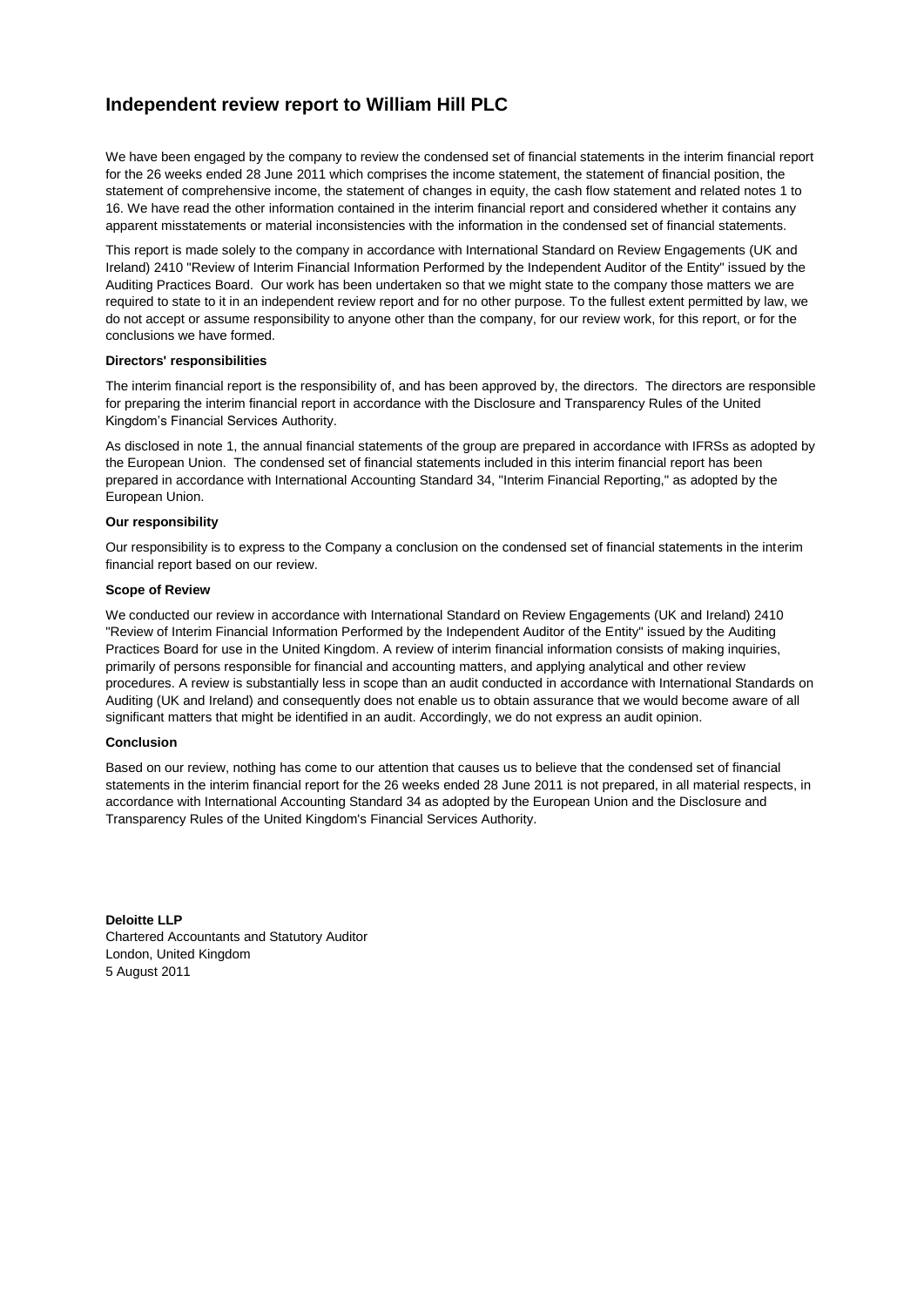## **Independent review report to William Hill PLC**

We have been engaged by the company to review the condensed set of financial statements in the interim financial report for the 26 weeks ended 28 June 2011 which comprises the income statement, the statement of financial position, the statement of comprehensive income, the statement of changes in equity, the cash flow statement and related notes 1 to 16. We have read the other information contained in the interim financial report and considered whether it contains any apparent misstatements or material inconsistencies with the information in the condensed set of financial statements.

This report is made solely to the company in accordance with International Standard on Review Engagements (UK and Ireland) 2410 "Review of Interim Financial Information Performed by the Independent Auditor of the Entity" issued by the Auditing Practices Board. Our work has been undertaken so that we might state to the company those matters we are required to state to it in an independent review report and for no other purpose. To the fullest extent permitted by law, we do not accept or assume responsibility to anyone other than the company, for our review work, for this report, or for the conclusions we have formed.

#### **Directors' responsibilities**

The interim financial report is the responsibility of, and has been approved by, the directors. The directors are responsible for preparing the interim financial report in accordance with the Disclosure and Transparency Rules of the United Kingdom's Financial Services Authority.

As disclosed in note 1, the annual financial statements of the group are prepared in accordance with IFRSs as adopted by the European Union. The condensed set of financial statements included in this interim financial report has been prepared in accordance with International Accounting Standard 34, "Interim Financial Reporting," as adopted by the European Union.

#### **Our responsibility**

Our responsibility is to express to the Company a conclusion on the condensed set of financial statements in the interim financial report based on our review.

#### **Scope of Review**

We conducted our review in accordance with International Standard on Review Engagements (UK and Ireland) 2410 "Review of Interim Financial Information Performed by the Independent Auditor of the Entity" issued by the Auditing Practices Board for use in the United Kingdom. A review of interim financial information consists of making inquiries, primarily of persons responsible for financial and accounting matters, and applying analytical and other review procedures. A review is substantially less in scope than an audit conducted in accordance with International Standards on Auditing (UK and Ireland) and consequently does not enable us to obtain assurance that we would become aware of all significant matters that might be identified in an audit. Accordingly, we do not express an audit opinion.

#### **Conclusion**

Based on our review, nothing has come to our attention that causes us to believe that the condensed set of financial statements in the interim financial report for the 26 weeks ended 28 June 2011 is not prepared, in all material respects, in accordance with International Accounting Standard 34 as adopted by the European Union and the Disclosure and Transparency Rules of the United Kingdom's Financial Services Authority.

**Deloitte LLP** Chartered Accountants and Statutory Auditor London, United Kingdom 5 August 2011